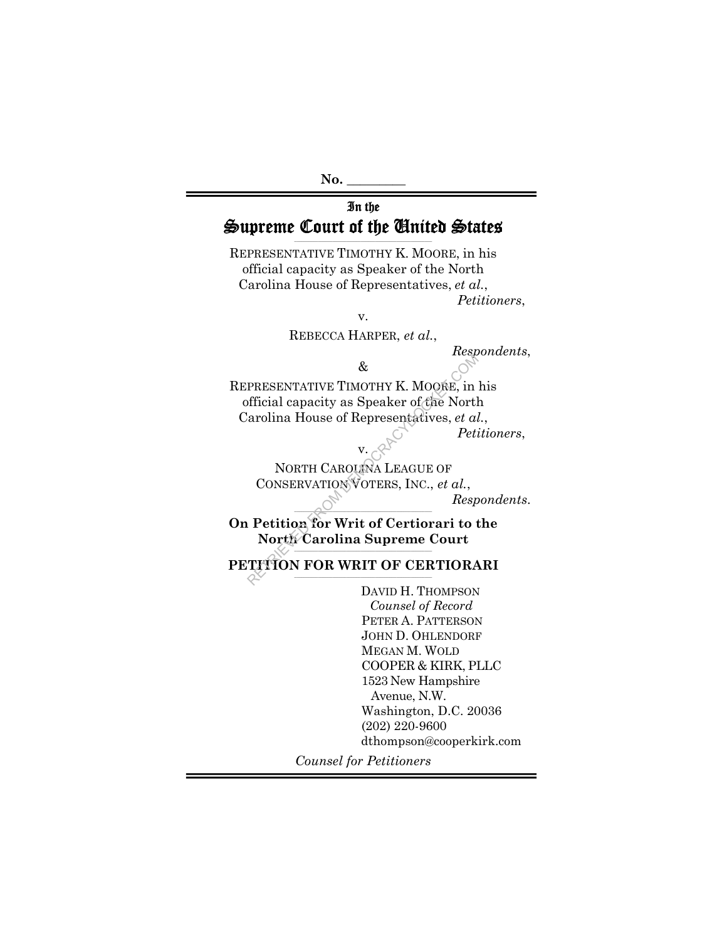#### In the Supreme Court of the United States **\_\_\_\_\_\_\_\_\_\_\_\_\_\_\_\_\_\_\_\_\_\_\_\_\_\_\_\_\_\_\_\_\_\_\_\_\_\_\_\_\_\_\_\_\_\_\_\_\_\_\_\_\_\_\_\_\_\_**

REPRESENTATIVE TIMOTHY K. MOORE, in his official capacity as Speaker of the North Carolina House of Representatives, *et al.*, *Petitioners*,

v.

REBECCA HARPER, *et al.*,

*Respondents*,

REPRESENTATIVE TIMOTHY K. MOORE, in his official capacity as Speaker of the North Carolina House of Representatives, *et al.*, RESENTATIVE TIMOTHY K. MOORE, in<br>fficial capacity as Speaker of the North<br>arolina House of Representatives, *et al.*<br>Peti<br>V.<br>NORTH CAROLINA LEAGUE OF<br>CONSERVATION VOTERS, INC., *et al.,<br>Resp*<br>Petition for Writ of Certiorar

*Petitioners*,

 $v.$ NORTH CAROLINA LEAGUE OF CONSERVATION VOTERS, INC., *et al.*, *Respondents*.

 $\wedge$   $\wedge$   $\wedge$   $\wedge$   $\wedge$   $\wedge$   $\wedge$   $\wedge$   $\wedge$   $\wedge$   $\wedge$   $\wedge$   $\wedge$   $\wedge$   $\wedge$   $\wedge$   $\wedge$   $\wedge$   $\wedge$   $\wedge$   $\wedge$   $\wedge$   $\wedge$   $\wedge$   $\wedge$   $\wedge$   $\wedge$   $\wedge$   $\wedge$   $\wedge$   $\wedge$   $\wedge$   $\wedge$   $\wedge$   $\wedge$   $\wedge$   $\wedge$ **On Petition for Writ of Certiorari to the**  North Carolina Supreme Court

**PETITION FOR WRIT OF CERTIORARI** 

DAVID H. THOMPSON *Counsel of Record*  PETER A. PATTERSON JOHN D. OHLENDORF MEGAN M. WOLD COOPER & KIRK, PLLC 1523 New Hampshire Avenue, N.W. Washington, D.C. 20036 (202) 220-9600 dthompson@cooperkirk.com

*Counsel for Petitioners* 

<sup>&</sup>amp;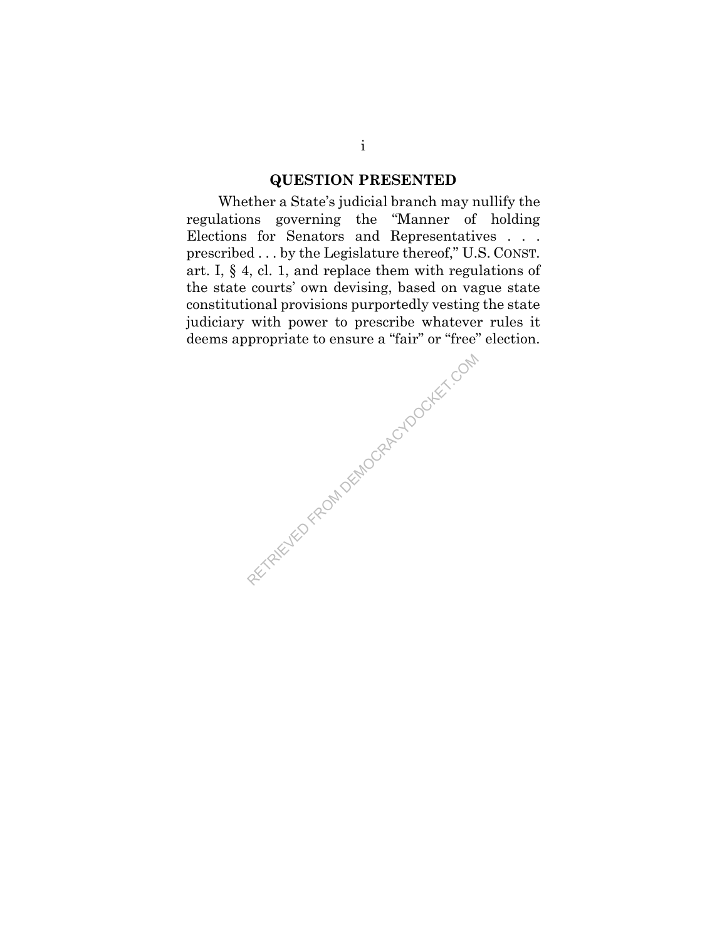## **QUESTION PRESENTED**

Whether a State's judicial branch may nullify the regulations governing the "Manner of holding Elections for Senators and Representatives . . . prescribed . . . by the Legislature thereof," U.S. CONST. art. I, § 4, cl. 1, and replace them with regulations of the state courts' own devising, based on vague state constitutional provisions purportedly vesting the state judiciary with power to prescribe whatever rules it deems appropriate to ensure a "fair" or "free" election.

ARETRIEVED FROM DEMOCRACYDOCKET.COM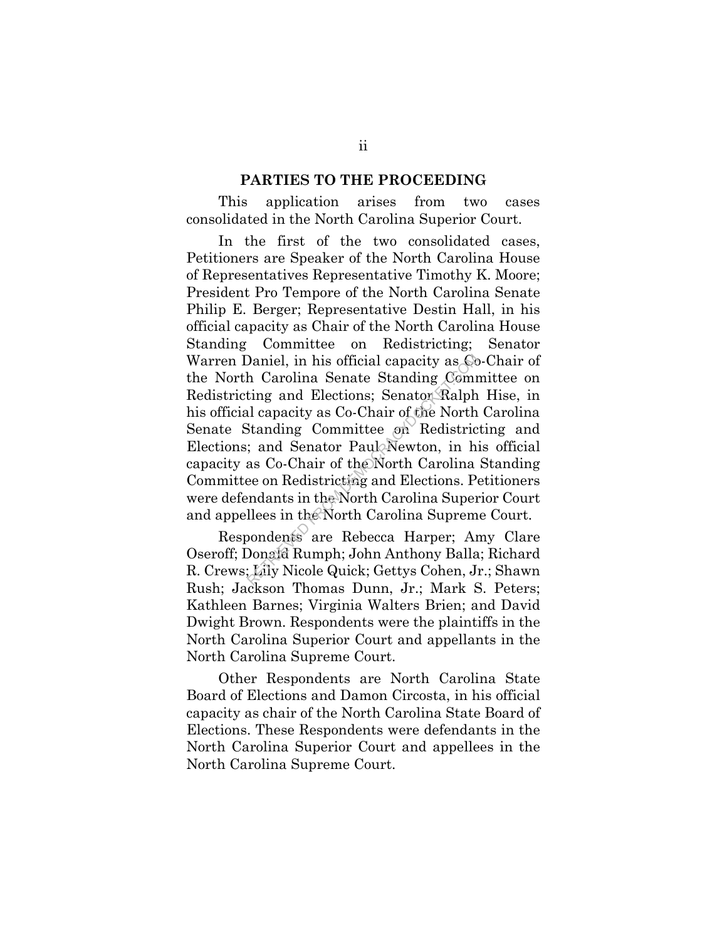#### **PARTIES TO THE PROCEEDING**

This application arises from two cases consolidated in the North Carolina Superior Court.

In the first of the two consolidated cases, Petitioners are Speaker of the North Carolina House of Representatives Representative Timothy K. Moore; President Pro Tempore of the North Carolina Senate Philip E. Berger; Representative Destin Hall, in his official capacity as Chair of the North Carolina House Standing Committee on Redistricting; Senator Warren Daniel, in his official capacity as Co-Chair of the North Carolina Senate Standing Committee on Redistricting and Elections; Senator Ralph Hise, in his official capacity as Co-Chair of the North Carolina Senate Standing Committee on Redistricting and Elections; and Senator Paul Newton, in his official capacity as Co-Chair of the North Carolina Standing Committee on Redistricting and Elections. Petitioners were defendants in the North Carolina Superior Court and appellees in the North Carolina Supreme Court. Daniel, in his official capacity as Cc<br>h Carolina Senate Standing Comm<br>ting and Elections; Senator Ralph<br>al capacity as Co-Chair of the North<br>Standing Committee on Redistric<br>i; and Senator Paul Newton, in hi<br>as Co-Chair of

Respondents are Rebecca Harper; Amy Clare Oseroff; Donald Rumph; John Anthony Balla; Richard R. Crews; Lily Nicole Quick; Gettys Cohen, Jr.; Shawn Rush; Jackson Thomas Dunn, Jr.; Mark S. Peters; Kathleen Barnes; Virginia Walters Brien; and David Dwight Brown. Respondents were the plaintiffs in the North Carolina Superior Court and appellants in the North Carolina Supreme Court.

Other Respondents are North Carolina State Board of Elections and Damon Circosta, in his official capacity as chair of the North Carolina State Board of Elections. These Respondents were defendants in the North Carolina Superior Court and appellees in the North Carolina Supreme Court.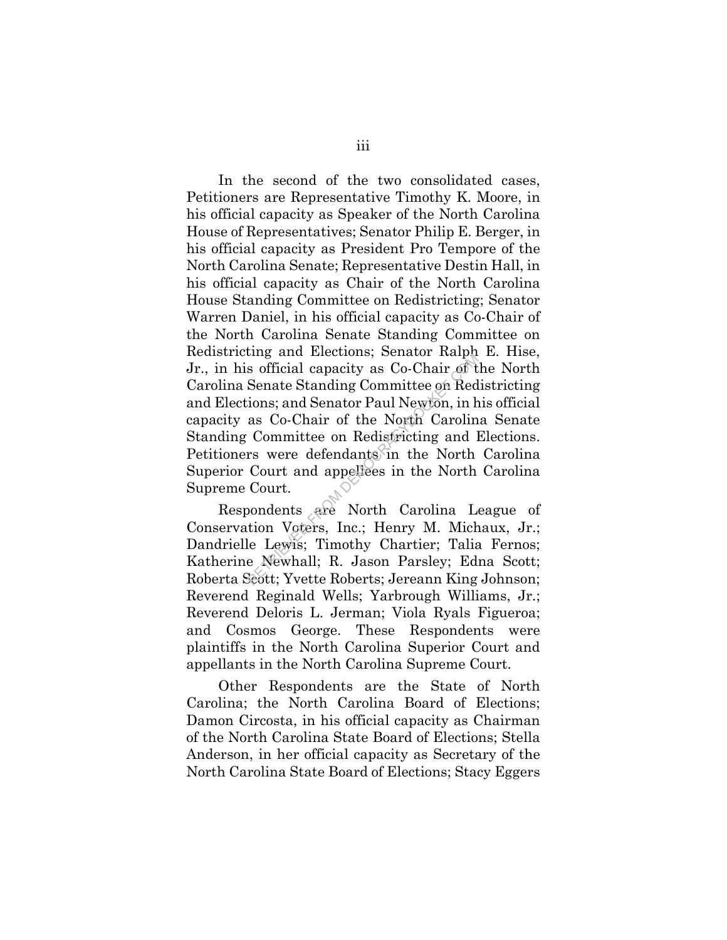In the second of the two consolidated cases, Petitioners are Representative Timothy K. Moore, in his official capacity as Speaker of the North Carolina House of Representatives; Senator Philip E. Berger, in his official capacity as President Pro Tempore of the North Carolina Senate; Representative Destin Hall, in his official capacity as Chair of the North Carolina House Standing Committee on Redistricting; Senator Warren Daniel, in his official capacity as Co-Chair of the North Carolina Senate Standing Committee on Redistricting and Elections; Senator Ralph E. Hise, Jr., in his official capacity as Co-Chair of the North Carolina Senate Standing Committee on Redistricting and Elections; and Senator Paul Newton, in his official capacity as Co-Chair of the North Carolina Senate Standing Committee on Redistricting and Elections. Petitioners were defendants in the North Carolina Superior Court and appellees in the North Carolina Supreme Court. ing and Ecctions, Schatch Rapt<br>
s official capacity as Co-Chair of t<br>
Senate Standing Committee on Red<br>
ions; and Senator Paul Newton, in h<br>
as Co-Chair of the North Carolin<br>
Committee on Redistricting and I<br>
rs were defen

Respondents are North Carolina League of Conservation Voters, Inc.; Henry M. Michaux, Jr.; Dandrielle Lewis; Timothy Chartier; Talia Fernos; Katherine Newhall; R. Jason Parsley; Edna Scott; Roberta Scott; Yvette Roberts; Jereann King Johnson; Reverend Reginald Wells; Yarbrough Williams, Jr.; Reverend Deloris L. Jerman; Viola Ryals Figueroa; and Cosmos George. These Respondents were plaintiffs in the North Carolina Superior Court and appellants in the North Carolina Supreme Court.

Other Respondents are the State of North Carolina; the North Carolina Board of Elections; Damon Circosta, in his official capacity as Chairman of the North Carolina State Board of Elections; Stella Anderson, in her official capacity as Secretary of the North Carolina State Board of Elections; Stacy Eggers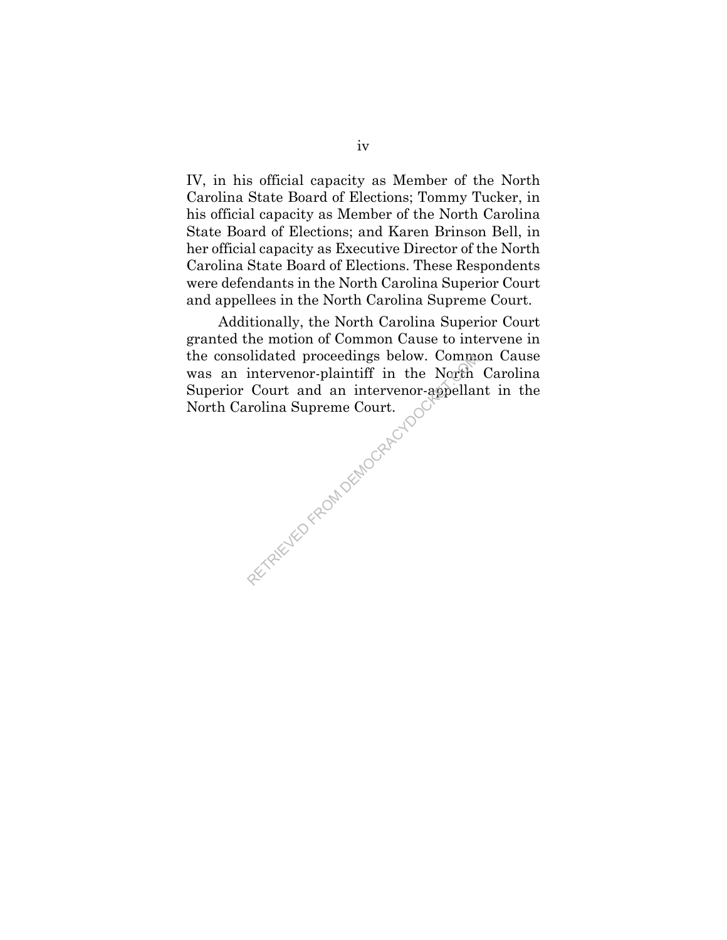IV, in his official capacity as Member of the North Carolina State Board of Elections; Tommy Tucker, in his official capacity as Member of the North Carolina State Board of Elections; and Karen Brinson Bell, in her official capacity as Executive Director of the North Carolina State Board of Elections. These Respondents were defendants in the North Carolina Superior Court and appellees in the North Carolina Supreme Court.

Additionally, the North Carolina Superior Court granted the motion of Common Cause to intervene in the consolidated proceedings below. Common Cause was an intervenor-plaintiff in the North Carolina Superior Court and an intervenor-appellant in the North Carolina Supreme Court. AFTRIEVED FROM DEMOCRACYDOCK

iv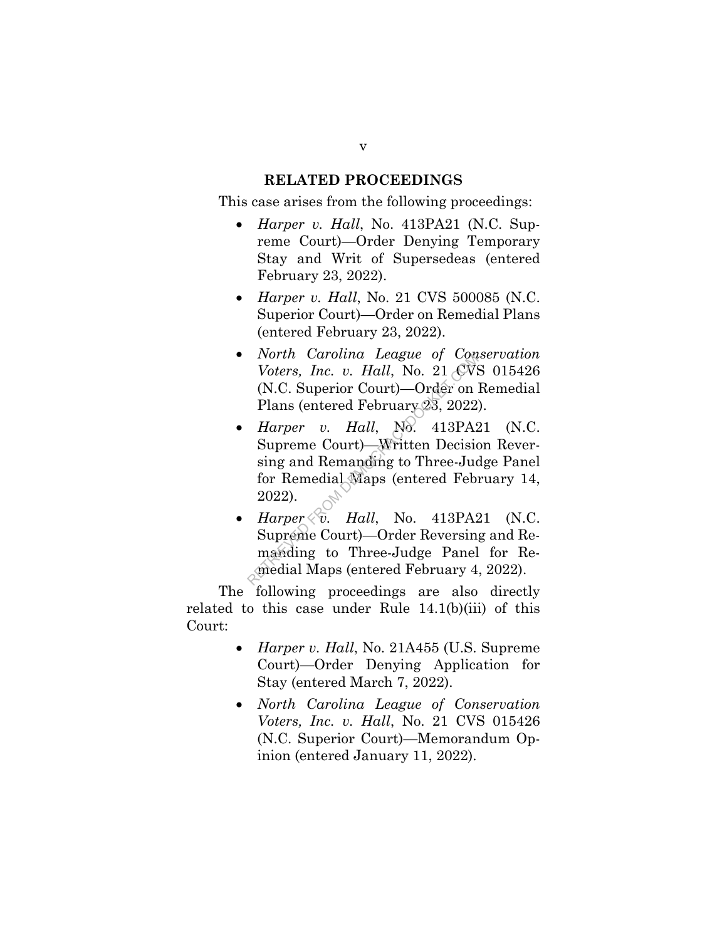## **RELATED PROCEEDINGS**

This case arises from the following proceedings:

- *Harper v. Hall*, No. 413PA21 (N.C. Supreme Court)—Order Denying Temporary Stay and Writ of Supersedeas (entered February 23, 2022).
- *Harper v. Hall*, No. 21 CVS 500085 (N.C. Superior Court)—Order on Remedial Plans (entered February 23, 2022).
- *North Carolina League of Conservation Voters, Inc. v. Hall*, No. 21 CVS 015426 (N.C. Superior Court)—Order on Remedial Plans (entered February 23, 2022).
- *Harper v. Hall*, No. 413PA21 (N.C. Supreme Court)—Written Decision Reversing and Remanding to Three-Judge Panel for Remedial Maps (entered February 14, 2022). From Carolina League of Controllers, Inc. v. Hall, No. 21 CVS<br>
(N.C. Superior Court)—Order on Plans (entered February 23, 2022)<br>
Harper v. Hall, No. 413PA2<br>
Supreme Court)—Written Decisionsing and Remanding to Three-Jude<br>
- *Harper*  $\langle \tilde{v}$ . *Hall*, No. 413PA21 (N.C. Supreme Court)—Order Reversing and Remanding to Three-Judge Panel for Remedial Maps (entered February 4, 2022).

The following proceedings are also directly related to this case under Rule 14.1(b)(iii) of this Court:

- *Harper v. Hall*, No. 21A455 (U.S. Supreme Court)—Order Denying Application for Stay (entered March 7, 2022).
- *North Carolina League of Conservation Voters, Inc. v. Hall*, No. 21 CVS 015426 (N.C. Superior Court)—Memorandum Opinion (entered January 11, 2022).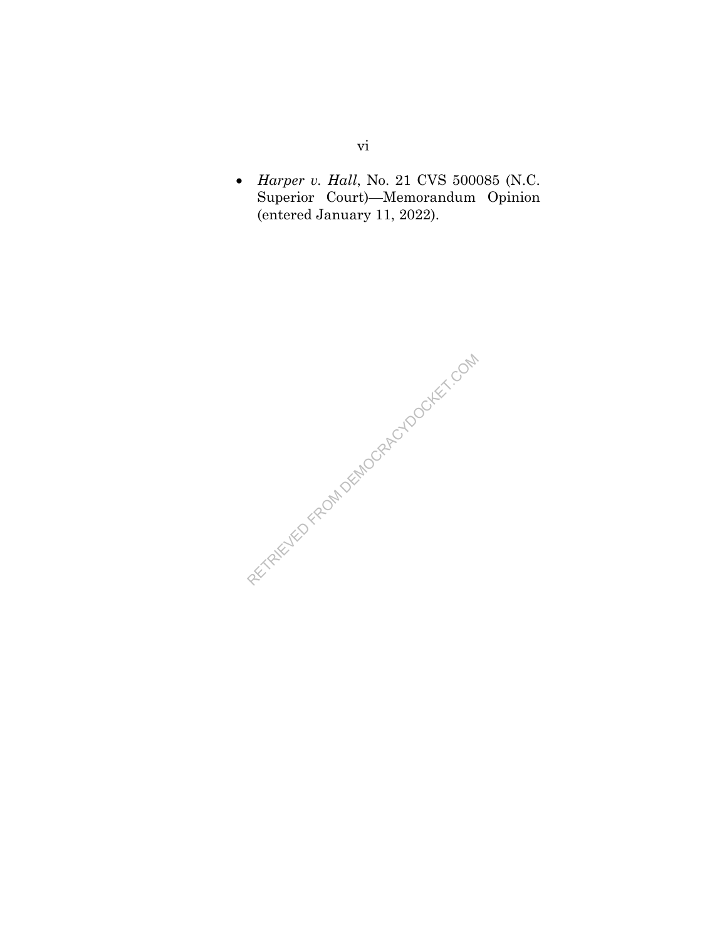*Harper v. Hall*, No. 21 CVS 500085 (N.C. Superior Court)—Memorandum Opinion (entered January 11, 2022).

RECTRICIAL PEOPLEMOCRACY DOCKET.COM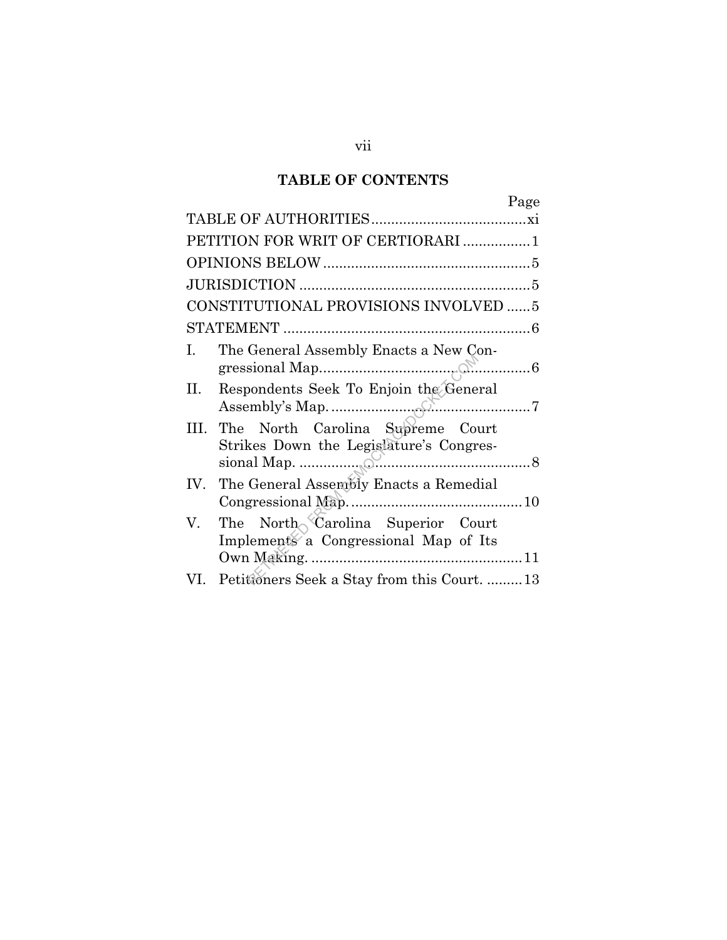## **TABLE OF CONTENTS**

|                                       | Page                                                                        |  |  |  |
|---------------------------------------|-----------------------------------------------------------------------------|--|--|--|
|                                       |                                                                             |  |  |  |
|                                       | PETITION FOR WRIT OF CERTIORARI 1                                           |  |  |  |
|                                       |                                                                             |  |  |  |
|                                       |                                                                             |  |  |  |
| CONSTITUTIONAL PROVISIONS INVOLVED  5 |                                                                             |  |  |  |
|                                       |                                                                             |  |  |  |
| I.                                    | The General Assembly Enacts a New Con-                                      |  |  |  |
| П.                                    | Respondents Seek To Enjoin the General                                      |  |  |  |
| HL.                                   | The North Carolina Supreme Court<br>Strikes Down the Legislature's Congres- |  |  |  |
|                                       | IV. The General Assembly Enacts a Remedial                                  |  |  |  |
| V.                                    | The North Carolina Superior Court<br>Implements a Congressional Map of Its  |  |  |  |
| VI.                                   | Petitioners Seek a Stay from this Court13                                   |  |  |  |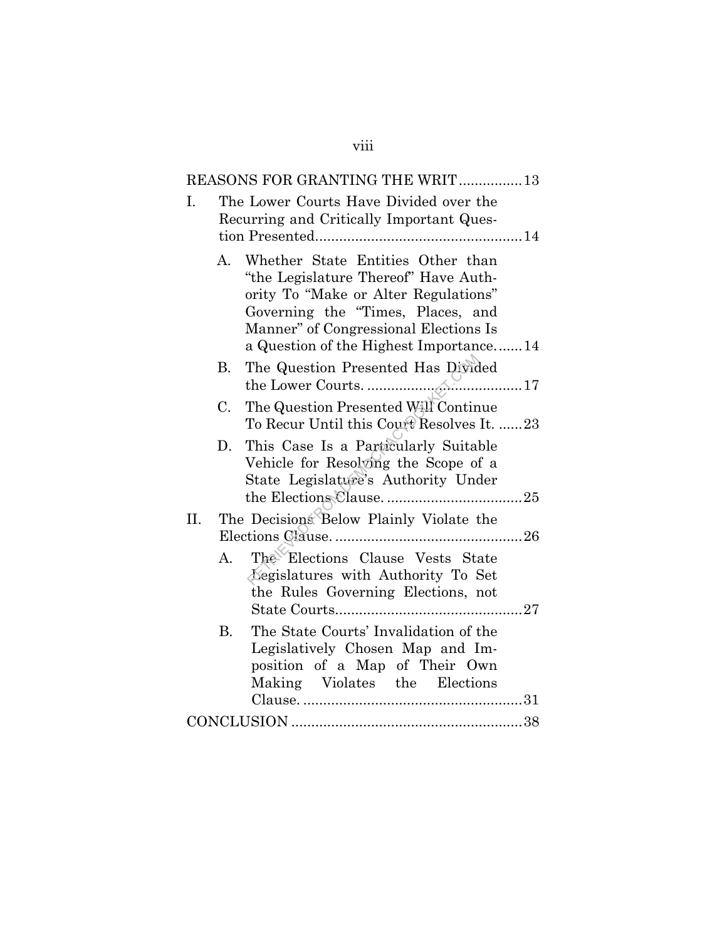| REASONS FOR GRANTING THE WRIT13 |                |                                                                                                                                                                                                                                           |  |  |
|---------------------------------|----------------|-------------------------------------------------------------------------------------------------------------------------------------------------------------------------------------------------------------------------------------------|--|--|
| Ι.                              |                | The Lower Courts Have Divided over the<br>Recurring and Critically Important Ques-                                                                                                                                                        |  |  |
|                                 | A.             | Whether State Entities Other than<br>"the Legislature Thereof" Have Auth-<br>ority To "Make or Alter Regulations"<br>Governing the "Times, Places, and<br>Manner" of Congressional Elections Is<br>a Question of the Highest Importance14 |  |  |
|                                 | В.             | The Question Presented Has Divided                                                                                                                                                                                                        |  |  |
|                                 | C.             | The Question Presented Will Continue<br>To Recur Until this Court Resolves It. 23                                                                                                                                                         |  |  |
|                                 | D.             | This Case Is a Particularly Suitable<br>Vehicle for Resolving the Scope of a<br>State Legislature's Authority Under                                                                                                                       |  |  |
| II.                             |                | The Decisions Below Plainly Violate the                                                                                                                                                                                                   |  |  |
|                                 | $A_{\cdot}$    | The Elections Clause Vests State<br>Legislatures with Authority To Set<br>the Rules Governing Elections, not                                                                                                                              |  |  |
|                                 | $\mathbf{B}$ . | The State Courts' Invalidation of the<br>Legislatively Chosen Map and Im-<br>position of a Map of Their Own<br>Making Violates the Elections                                                                                              |  |  |
|                                 |                |                                                                                                                                                                                                                                           |  |  |

viii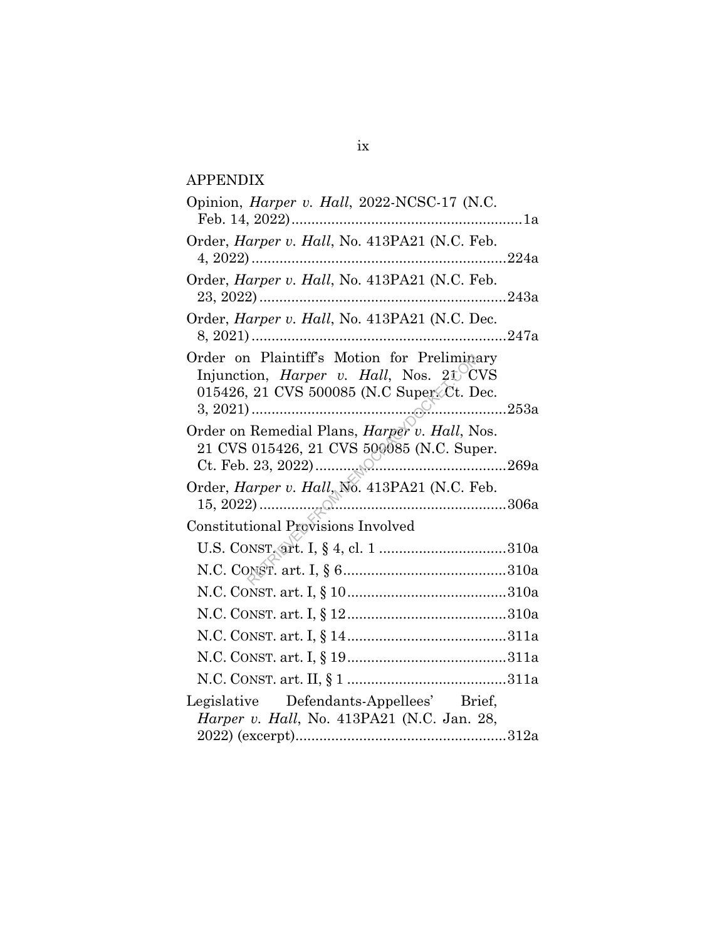## APPENDIX

| Opinion, <i>Harper v. Hall</i> , 2022-NCSC-17 (N.C.                                                                                         |
|---------------------------------------------------------------------------------------------------------------------------------------------|
| Order, Harper v. Hall, No. 413PA21 (N.C. Feb.                                                                                               |
| Order, Harper v. Hall, No. 413PA21 (N.C. Feb.                                                                                               |
| Order, Harper v. Hall, No. 413PA21 (N.C. Dec.                                                                                               |
| Order on Plaintiff's Motion for Preliminary<br>Injunction, <i>Harper v. Hall</i> , Nos. 21 CVS<br>015426, 21 CVS 500085 (N.C Super Ct. Dec. |
| 21 CVS 015426, 21 CVS 500085 (N.C. Super.                                                                                                   |
| Order, Harper v. Hall, No. 413PA21 (N.C. Feb.                                                                                               |
| <b>Constitutional Provisions Involved</b>                                                                                                   |
|                                                                                                                                             |
|                                                                                                                                             |
|                                                                                                                                             |
|                                                                                                                                             |
|                                                                                                                                             |
|                                                                                                                                             |
|                                                                                                                                             |
| Legislative Defendants-Appellees' Brief,<br>Harper v. Hall, No. 413PA21 (N.C. Jan. 28,                                                      |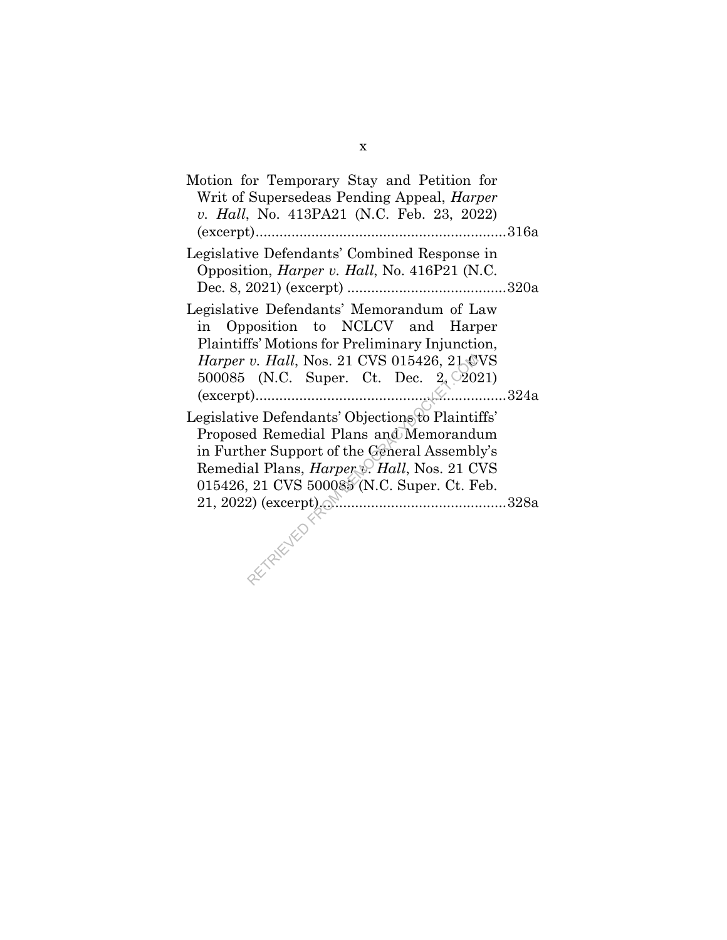| Motion for Temporary Stay and Petition for<br>Writ of Supersedeas Pending Appeal, <i>Harper</i><br>v. Hall, No. 413PA21 (N.C. Feb. 23, 2022)                                                                                                         |
|------------------------------------------------------------------------------------------------------------------------------------------------------------------------------------------------------------------------------------------------------|
| Legislative Defendants' Combined Response in<br>Opposition, <i>Harper v. Hall</i> , No. 416P21 (N.C.                                                                                                                                                 |
| Legislative Defendants' Memorandum of Law<br>in Opposition to NCLCV and Harper<br>Plaintiffs' Motions for Preliminary Injunction,<br>Harper v. Hall, Nos. 21 CVS 015426, 21 CVS<br>500085 (N.C. Super. Ct. Dec. $2\sqrt{2021}$ )                     |
| Legislative Defendants' Objections to Plaintiffs'<br>Proposed Remedial Plans and Memorandum<br>in Further Support of the General Assembly's<br>Remedial Plans, <i>Harper &amp; Hall</i> , Nos. 21 CVS<br>015426, 21 CVS 500085 (N.C. Super. Ct. Feb. |
| PACTANTES                                                                                                                                                                                                                                            |

x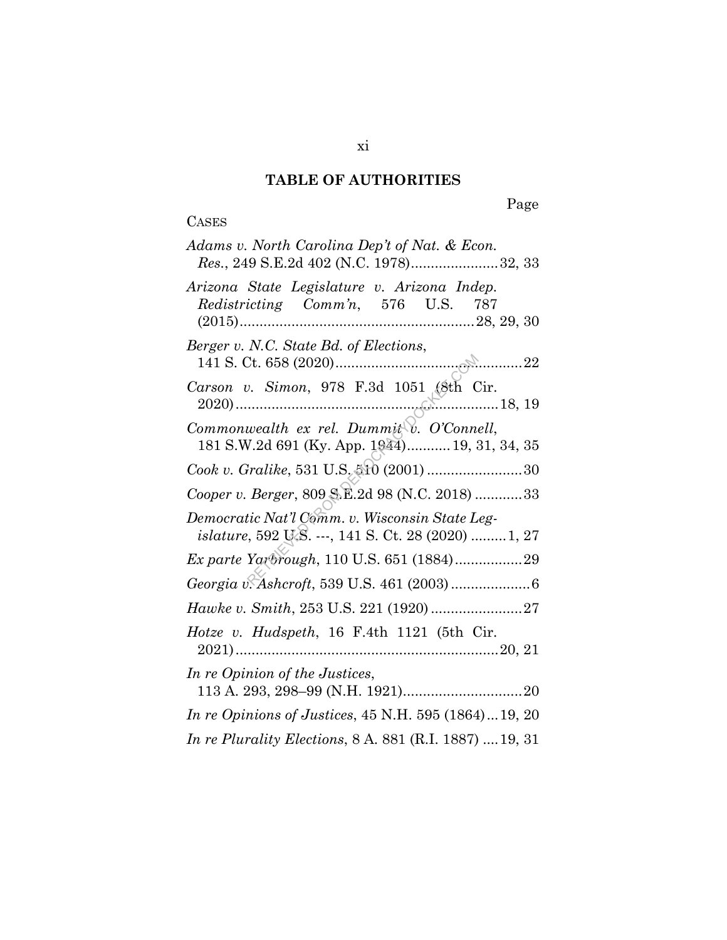## **TABLE OF AUTHORITIES**

## **CASES**

# Page

| Adams v. North Carolina Dep't of Nat. & Econ.<br>Res., 249 S.E.2d 402 (N.C. 1978)32, 33                            |
|--------------------------------------------------------------------------------------------------------------------|
| Arizona State Legislature v. Arizona Indep.<br>Redistricting Comm'n, 576 U.S. 787                                  |
| Berger v. N.C. State Bd. of Elections,                                                                             |
| Carson v. Simon, 978 F.3d 1051 (8th Cir.                                                                           |
| Commonwealth ex rel. Dummit $\widetilde{\mathbb{C}}$ . O'Connell,<br>181 S.W.2d 691 (Ky. App. 1944) 19, 31, 34, 35 |
| Cook v. Gralike, 531 U.S. 510 (2001) 30                                                                            |
| Cooper v. Berger, 809 S.E.2d 98 (N.C. 2018)  33                                                                    |
| Democratic Nat'l Comm. v. Wisconsin State Leg-<br><i>islature</i> , 592 U.S. ---, 141 S. Ct. 28 (2020) 1, 27       |
| Ex parte Yarbrough, 110 U.S. 651 (1884)29                                                                          |
|                                                                                                                    |
| Hawke v. Smith, 253 U.S. 221 (1920)  27                                                                            |
| Hotze v. Hudspeth, 16 F.4th 1121 (5th Cir.                                                                         |
| In re Opinion of the Justices,                                                                                     |
| <i>In re Opinions of Justices, 45 N.H. 595 (1864)19, 20</i>                                                        |
| In re Plurality Elections, 8 A. 881 (R.I. 1887)  19, 31                                                            |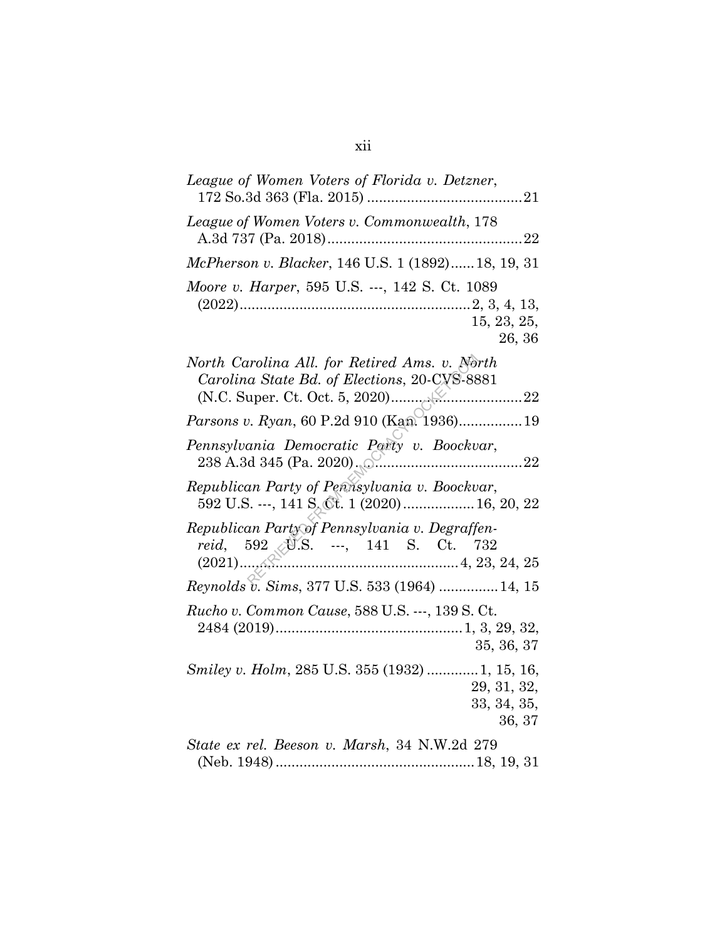| League of Women Voters of Florida v. Detzner,                                                  |
|------------------------------------------------------------------------------------------------|
| League of Women Voters v. Commonwealth, 178                                                    |
| McPherson v. Blacker, 146 U.S. 1 (1892) 18, 19, 31                                             |
| Moore v. Harper, 595 U.S. ---, 142 S. Ct. 1089<br>15, 23, 25,<br>26, 36                        |
| North Carolina All. for Retired Ams. v. North<br>Carolina State Bd. of Elections, 20-CVS-8881  |
| Parsons v. Ryan, 60 P.2d 910 (Kan. 1936)19                                                     |
| Pennsylvania Democratic Party v. Boockvar,<br>238 A.3d 345 (Pa. 2020). <u>Camming and 22</u>   |
| Republican Party of Pennsylvania v. Boockvar,<br>592 U.S. ---, 141 S. Ct. 1 (2020)  16, 20, 22 |
| Republican Party of Pennsylvania v. Degraffen-<br>reid, 592 M.S. ---, 141 S. Ct. 732           |
| Reynolds v. Sims, 377 U.S. 533 (1964)  14, 15                                                  |
| <i>Rucho v. Common Cause,</i> 588 U.S. ---, 139 S. Ct.<br>35, 36, 37                           |
| Smiley v. Holm, 285 U.S. 355 (1932)  1, 15, 16,<br>29, 31, 32,<br>33, 34, 35,<br>36, 37        |
| State ex rel. Beeson v. Marsh, 34 N.W.2d 279                                                   |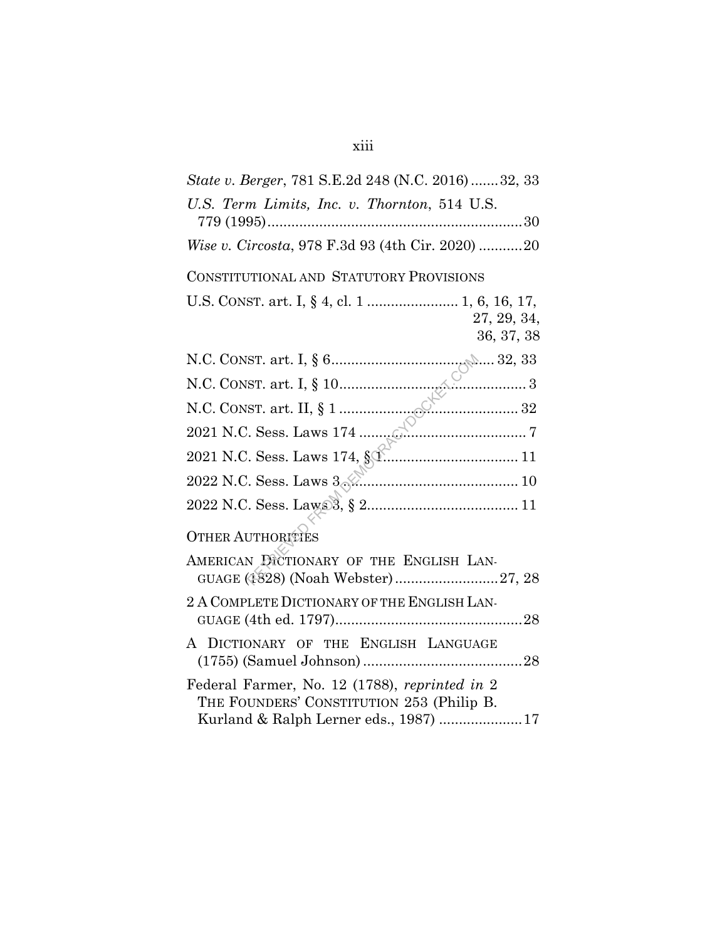| <i>State v. Berger, 781 S.E.2d 248 (N.C. 2016) 32, 33</i>                                                                           |
|-------------------------------------------------------------------------------------------------------------------------------------|
| U.S. Term Limits, Inc. v. Thornton, 514 U.S.                                                                                        |
| Wise v. Circosta, 978 F.3d 93 (4th Cir. 2020) 20                                                                                    |
| CONSTITUTIONAL AND STATUTORY PROVISIONS                                                                                             |
| U.S. CONST. art. I, § 4, cl. 1  1, 6, 16, 17,<br>27, 29, 34,<br>36, 37, 38                                                          |
|                                                                                                                                     |
|                                                                                                                                     |
|                                                                                                                                     |
|                                                                                                                                     |
|                                                                                                                                     |
| 2022 N.C. Sess. Laws 3                                                                                                              |
|                                                                                                                                     |
| <b>OTHER AUTHORITIES</b>                                                                                                            |
| AMERICAN DICTIONARY OF THE ENGLISH LAN-<br>GUAGE (1828) (Noah Webster)27, 28                                                        |
| 2 A COMPLETE DICTIONARY OF THE ENGLISH LAN-                                                                                         |
| A DICTIONARY OF THE ENGLISH LANGUAGE                                                                                                |
| Federal Farmer, No. 12 (1788), reprinted in 2<br>THE FOUNDERS' CONSTITUTION 253 (Philip B.<br>Kurland & Ralph Lerner eds., 1987) 17 |

## xiii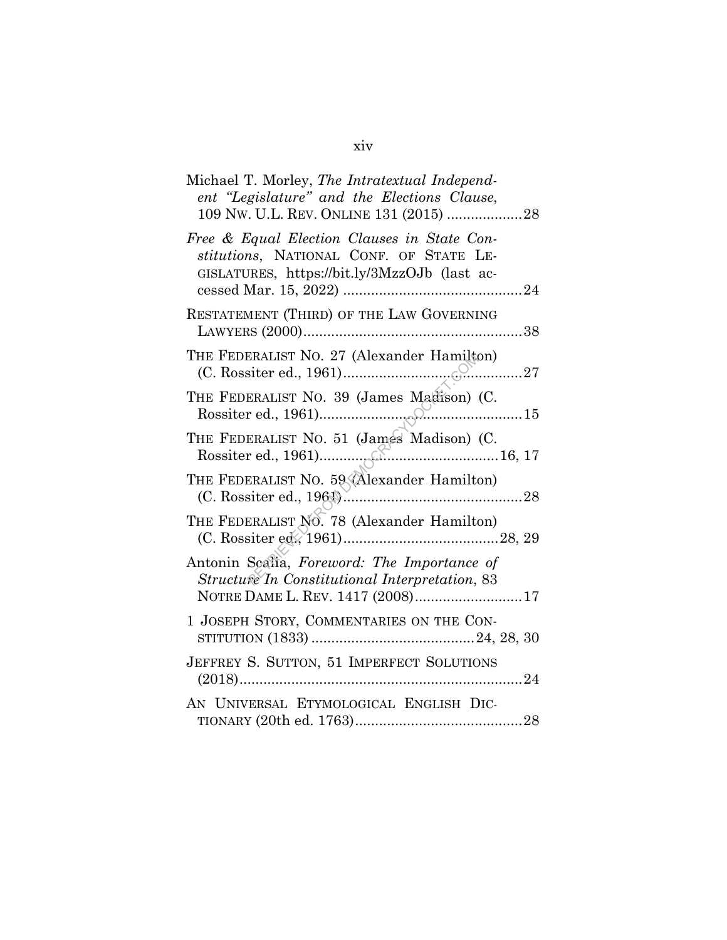| Michael T. Morley, The Intratextual Independ-<br>ent "Legislature" and the Elections Clause,<br>109 NW. U.L. REV. ONLINE 131 (2015) 28 |
|----------------------------------------------------------------------------------------------------------------------------------------|
| Free & Equal Election Clauses in State Con-<br>stitutions, NATIONAL CONF. OF STATE LE-<br>GISLATURES, https://bit.ly/3MzzOJb (last ac- |
| RESTATEMENT (THIRD) OF THE LAW GOVERNING                                                                                               |
| THE FEDERALIST NO. 27 (Alexander Hamilton)                                                                                             |
| THE FEDERALIST NO. 39 (James Macison) (C.                                                                                              |
| THE FEDERALIST NO. 51 (James Madison) (C.                                                                                              |
| THE FEDERALIST NO. 59 (Alexander Hamilton)                                                                                             |
| THE FEDERALIST NO. 78 (Alexander Hamilton)                                                                                             |
| Antonin Scalia, Foreword: The Importance of<br>Structure In Constitutional Interpretation, 83<br>NOTRE DAME L. REV. 1417 (2008)17      |
| 1 JOSEPH STORY, COMMENTARIES ON THE CON-                                                                                               |
| JEFFREY S. SUTTON, 51 IMPERFECT SOLUTIONS                                                                                              |
| AN UNIVERSAL ETYMOLOGICAL ENGLISH DIC-                                                                                                 |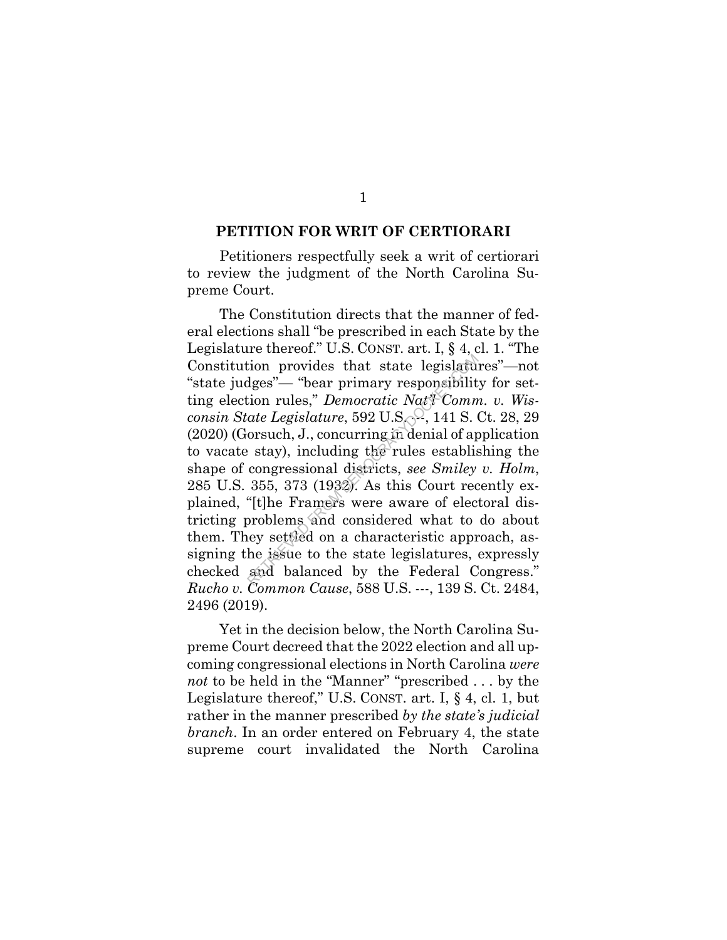#### **PETITION FOR WRIT OF CERTIORARI**

Petitioners respectfully seek a writ of certiorari to review the judgment of the North Carolina Supreme Court.

The Constitution directs that the manner of federal elections shall "be prescribed in each State by the Legislature thereof." U.S. CONST. art. I, § 4, cl. 1. "The Constitution provides that state legislatures"—not "state judges"— "bear primary responsibility for setting election rules," *Democratic Nat'l Comm. v. Wisconsin State Legislature*, 592 U.S. <sup>2</sup>, 141 S. Ct. 28, 29 (2020) (Gorsuch, J., concurring in denial of application to vacate stay), including the rules establishing the shape of congressional districts, *see Smiley v. Holm*, 285 U.S. 355, 373 (1932). As this Court recently explained, "[t]he Framers were aware of electoral districting problems and considered what to do about them. They settled on a characteristic approach, assigning the issue to the state legislatures, expressly checked and balanced by the Federal Congress." *Rucho v. Common Cause*, 588 U.S. ---, 139 S. Ct. 2484, 2496 (2019). tion provides that state legislatudges"— "bear primary responsibilit<br>dges"— "bear primary responsibilit<br>ion rules," *Democratic Nat'l*-Comm<br>ate Legislature, 592 U.S., 141 S.<br>orsuch, J., concurring in denial of ap<br>extay),

Yet in the decision below, the North Carolina Supreme Court decreed that the 2022 election and all upcoming congressional elections in North Carolina *were not* to be held in the "Manner" "prescribed . . . by the Legislature thereof," U.S. CONST. art. I, § 4, cl. 1, but rather in the manner prescribed *by the state's judicial branch*. In an order entered on February 4, the state supreme court invalidated the North Carolina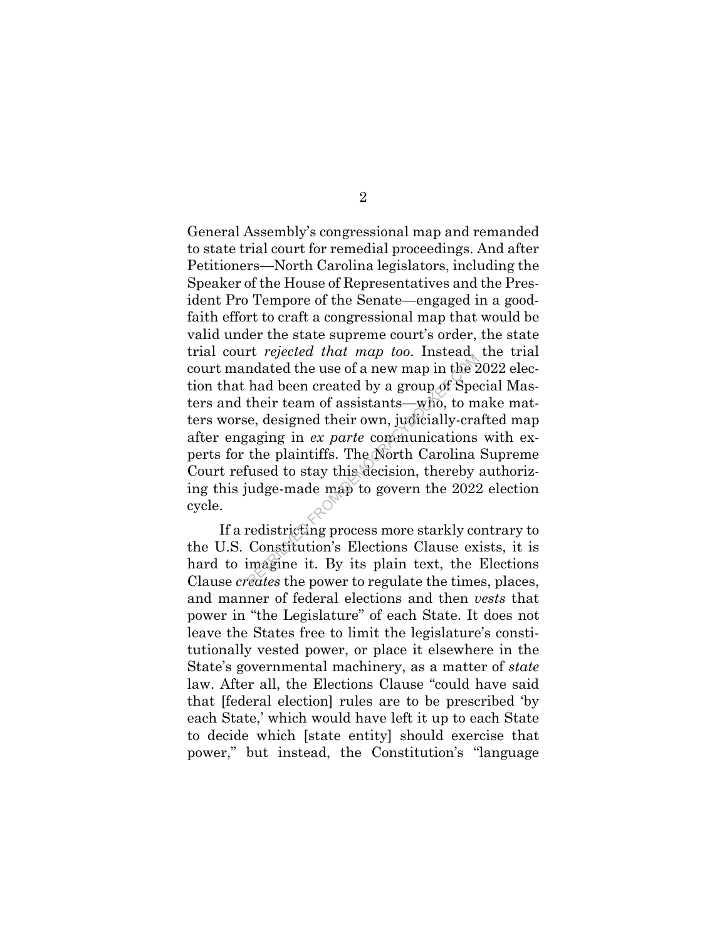General Assembly's congressional map and remanded to state trial court for remedial proceedings. And after Petitioners—North Carolina legislators, including the Speaker of the House of Representatives and the President Pro Tempore of the Senate—engaged in a goodfaith effort to craft a congressional map that would be valid under the state supreme court's order, the state trial court *rejected that map too*. Instead, the trial court mandated the use of a new map in the 2022 election that had been created by a group of Special Masters and their team of assistants—who, to make matters worse, designed their own, judicially-crafted map after engaging in *ex parte* communications with experts for the plaintiffs. The North Carolina Supreme Court refused to stay this decision, thereby authorizing this judge-made map to govern the 2022 election cycle. Reflected that map too. History<br>
mdated the use of a new map in the 2<br>
had been created by a group of Spe<br>
their team of assistants—who, to m<br>
e, designed their own, judicially-cra<br>
raging in *ex parte* communications<br>
th

If a redistricting process more starkly contrary to the U.S. Constitution's Elections Clause exists, it is hard to imagine it. By its plain text, the Elections Clause *creates* the power to regulate the times, places, and manner of federal elections and then *vests* that power in "the Legislature" of each State. It does not leave the States free to limit the legislature's constitutionally vested power, or place it elsewhere in the State's governmental machinery, as a matter of *state*  law. After all, the Elections Clause "could have said that [federal election] rules are to be prescribed 'by each State,' which would have left it up to each State to decide which [state entity] should exercise that power," but instead, the Constitution's "language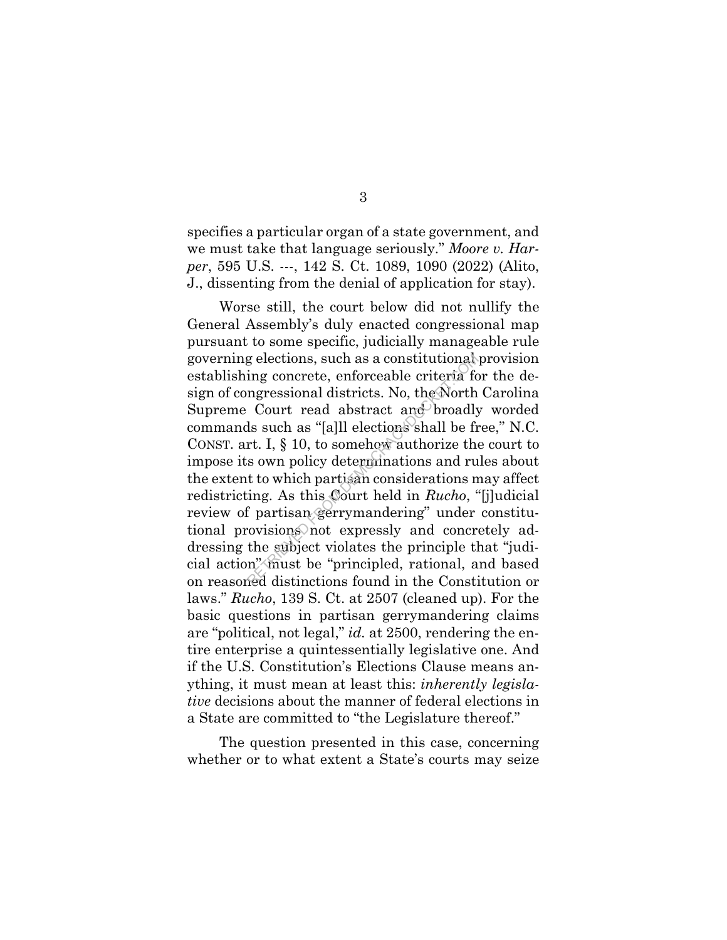specifies a particular organ of a state government, and we must take that language seriously." *Moore v. Harper*, 595 U.S. ---, 142 S. Ct. 1089, 1090 (2022) (Alito, J., dissenting from the denial of application for stay).

Worse still, the court below did not nullify the General Assembly's duly enacted congressional map pursuant to some specific, judicially manageable rule governing elections, such as a constitutional provision establishing concrete, enforceable criteria for the design of congressional districts. No, the North Carolina Supreme Court read abstract and broadly worded commands such as "[a]ll elections shall be free," N.C. CONST. art. I, § 10, to somehow authorize the court to impose its own policy determinations and rules about the extent to which partisan considerations may affect redistricting. As this Court held in *Rucho*, "[j]udicial review of partisan gerrymandering" under constitutional provisions not expressly and concretely addressing the subject violates the principle that "judicial action" must be "principled, rational, and based on reasoned distinctions found in the Constitution or laws." *Rucho*, 139 S. Ct. at 2507 (cleaned up). For the basic questions in partisan gerrymandering claims are "political, not legal," *id.* at 2500, rendering the entire enterprise a quintessentially legislative one. And if the U.S. Constitution's Elections Clause means anything, it must mean at least this: *inherently legislative* decisions about the manner of federal elections in a State are committed to "the Legislature thereof." g elections, such as a constitutional<br>ing concrete, enforceable criteria for<br>ngressional districts. No, the North<br>Court read abstract and broadly<br>ls such as "[a]ll elections shall be fr<br>rt. I, § 10, to somehow authorize th

The question presented in this case, concerning whether or to what extent a State's courts may seize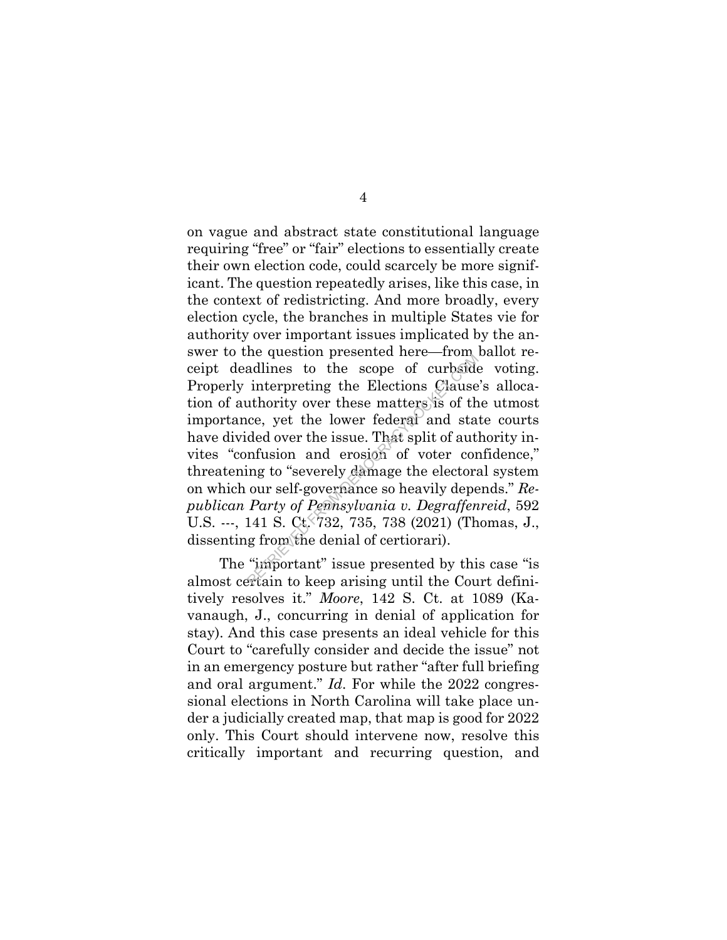on vague and abstract state constitutional language requiring "free" or "fair" elections to essentially create their own election code, could scarcely be more significant. The question repeatedly arises, like this case, in the context of redistricting. And more broadly, every election cycle, the branches in multiple States vie for authority over important issues implicated by the answer to the question presented here—from ballot receipt deadlines to the scope of curbside voting. Properly interpreting the Elections Clause's allocation of authority over these matters is of the utmost importance, yet the lower federal and state courts have divided over the issue. That split of authority invites "confusion and erosion of voter confidence," threatening to "severely damage the electoral system on which our self-governance so heavily depends." *Republican Party of Pennsylvania v. Degraffenreid*, 592 U.S. ---, 141 S. Ct. 732, 735, 738 (2021) (Thomas, J., dissenting from the denial of certiorari). refluences to the scope of curbside<br>interpreting the Elections Clause<br>uthority over these matters is of th<br>ce, yet the lower federal and sta<br>ded over the issue. That split of aut<br>infusion and erosion of voter cor<br>ing to "s

The "important" issue presented by this case "is almost certain to keep arising until the Court definitively resolves it." *Moore*, 142 S. Ct. at 1089 (Kavanaugh, J., concurring in denial of application for stay). And this case presents an ideal vehicle for this Court to "carefully consider and decide the issue" not in an emergency posture but rather "after full briefing and oral argument." *Id*. For while the 2022 congressional elections in North Carolina will take place under a judicially created map, that map is good for 2022 only. This Court should intervene now, resolve this critically important and recurring question, and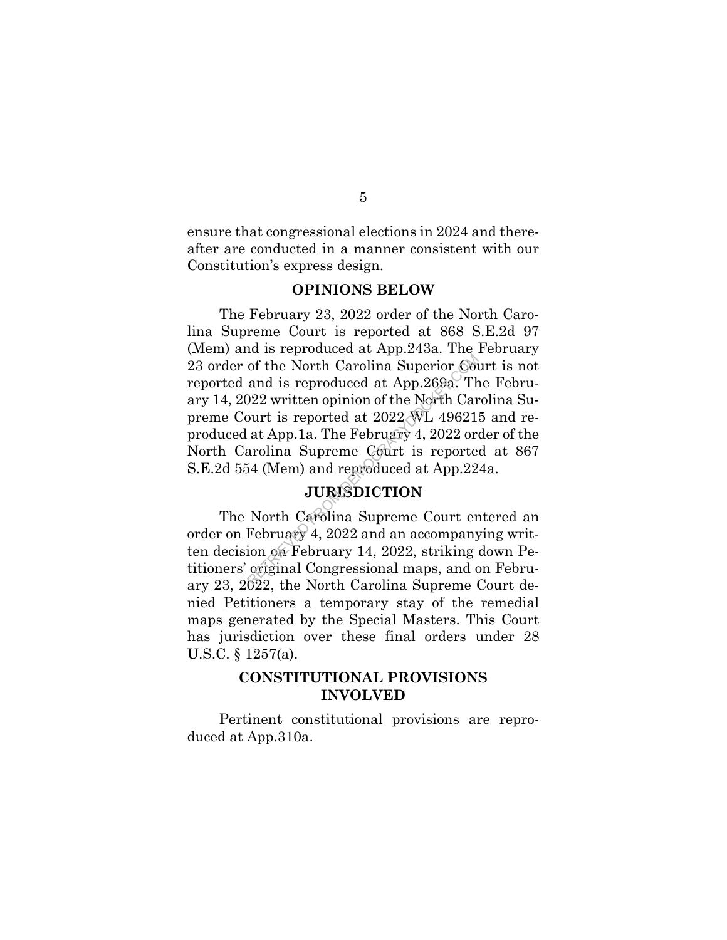ensure that congressional elections in 2024 and thereafter are conducted in a manner consistent with our Constitution's express design.

### **OPINIONS BELOW**

The February 23, 2022 order of the North Carolina Supreme Court is reported at 868 S.E.2d 97 (Mem) and is reproduced at App.243a. The February 23 order of the North Carolina Superior Court is not reported and is reproduced at App.269a. The February 14, 2022 written opinion of the North Carolina Supreme Court is reported at 2022 WL 496215 and reproduced at App.1a. The February 4, 2022 order of the North Carolina Supreme Court is reported at 867 S.E.2d 554 (Mem) and reproduced at App.224a. of the North Carolina Superior Com<br>
and is reproduced at App.269a. The 122 written opinion of the North Carourt is reported at 2022 WL 49621<br>
at App.1a. The February 4, 2022 or<br>
arolina Supreme Court is reporte<br>
54 (Mem)

## **JURISDICTION**

The North Carolina Supreme Court entered an order on February 4, 2022 and an accompanying written decision on February 14, 2022, striking down Petitioners' original Congressional maps, and on February 23, 2022, the North Carolina Supreme Court denied Petitioners a temporary stay of the remedial maps generated by the Special Masters. This Court has jurisdiction over these final orders under 28 U.S.C. § 1257(a).

### **CONSTITUTIONAL PROVISIONS INVOLVED**

Pertinent constitutional provisions are reproduced at App.310a.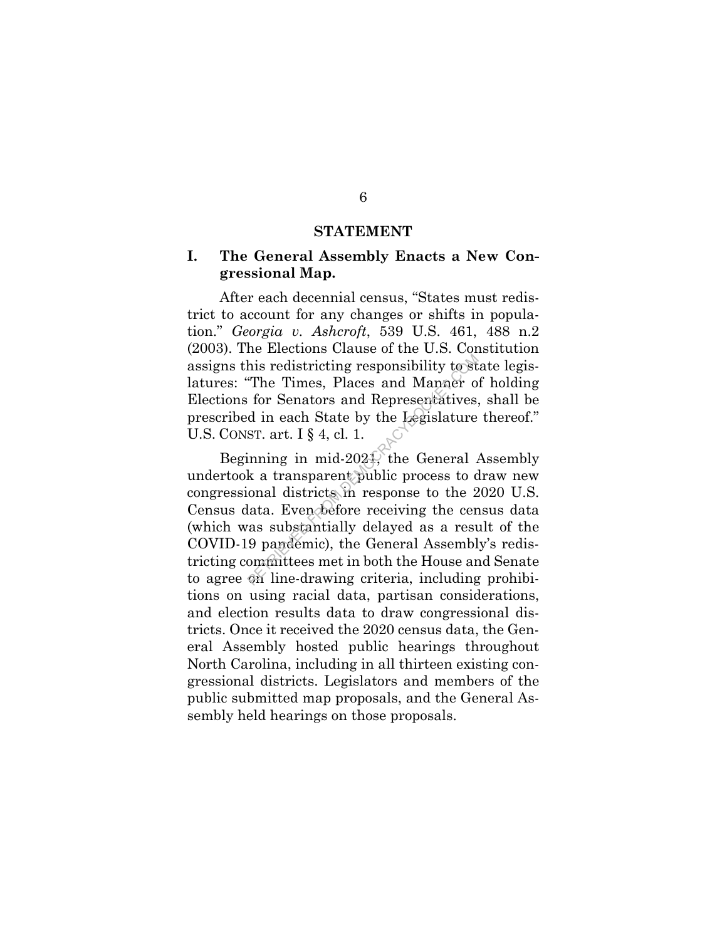#### **STATEMENT**

## **I. The General Assembly Enacts a New Congressional Map.**

After each decennial census, "States must redistrict to account for any changes or shifts in population." *Georgia v. Ashcroft*, 539 U.S. 461, 488 n.2 (2003). The Elections Clause of the U.S. Constitution assigns this redistricting responsibility to state legislatures: "The Times, Places and Manner of holding Elections for Senators and Representatives, shall be prescribed in each State by the Legislature thereof." U.S. CONST. art. I § 4, cl. 1.

Beginning in mid-2021, the General Assembly undertook a transparent public process to draw new congressional districts in response to the 2020 U.S. Census data. Even before receiving the census data (which was substantially delayed as a result of the COVID-19 pandemic), the General Assembly's redistricting committees met in both the House and Senate to agree on line-drawing criteria, including prohibitions on using racial data, partisan considerations, and election results data to draw congressional districts. Once it received the 2020 census data, the General Assembly hosted public hearings throughout North Carolina, including in all thirteen existing congressional districts. Legislators and members of the public submitted map proposals, and the General Assembly held hearings on those proposals. his redistricting responsibility to st<br>The Times, Places and Manner of<br>or Senators and Representatives,<br>d in each State by the Legislature<br>ST. art. I § 4, cl. 1.<br>inning in mid-2024, the General  $\mu$ <br>k a transparent public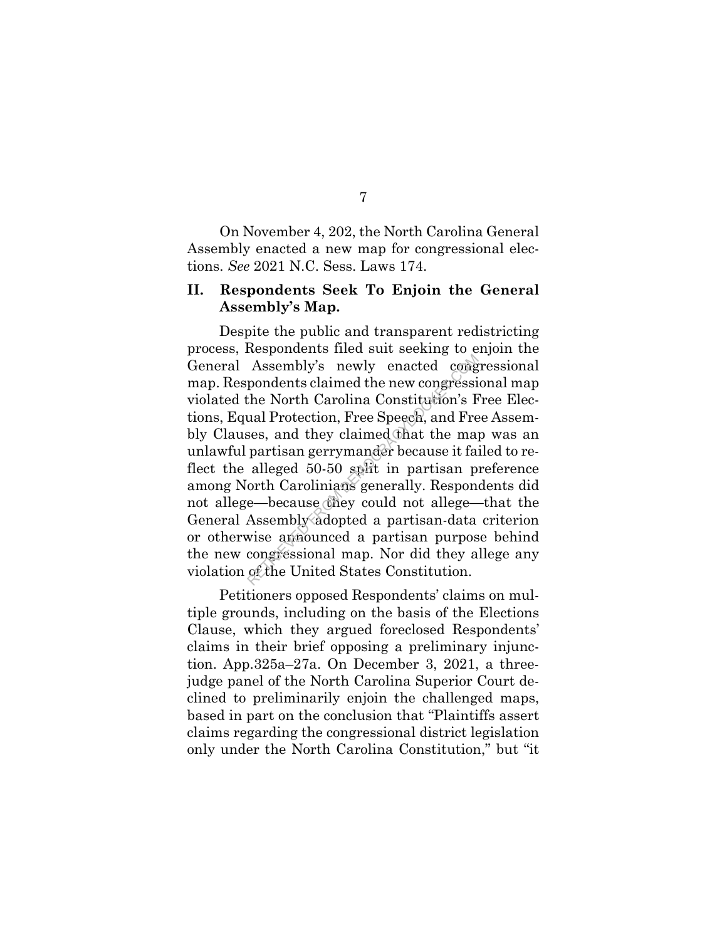On November 4, 202, the North Carolina General Assembly enacted a new map for congressional elections. *See* 2021 N.C. Sess. Laws 174.

## **II. Respondents Seek To Enjoin the General Assembly's Map.**

Despite the public and transparent redistricting process, Respondents filed suit seeking to enjoin the General Assembly's newly enacted congressional map. Respondents claimed the new congressional map violated the North Carolina Constitution's Free Elections, Equal Protection, Free Speech, and Free Assembly Clauses, and they claimed that the map was an unlawful partisan gerrymander because it failed to reflect the alleged 50-50 split in partisan preference among North Carolinians generally. Respondents did not allege—because they could not allege—that the General Assembly adopted a partisan-data criterion or otherwise announced a partisan purpose behind the new congressional map. Nor did they allege any violation of the United States Constitution. Assembly's newly enacted cong<br>pondents claimed the new congressi<br>the North Carolina Constitution's F<br>ual Protection, Free Speech, and Fre<br>ses, and they claimed that the may<br>partisan gerrymander because it fa<br>alleged 50-50

Petitioners opposed Respondents' claims on multiple grounds, including on the basis of the Elections Clause, which they argued foreclosed Respondents' claims in their brief opposing a preliminary injunction. App.325a–27a. On December 3, 2021, a threejudge panel of the North Carolina Superior Court declined to preliminarily enjoin the challenged maps, based in part on the conclusion that "Plaintiffs assert claims regarding the congressional district legislation only under the North Carolina Constitution," but "it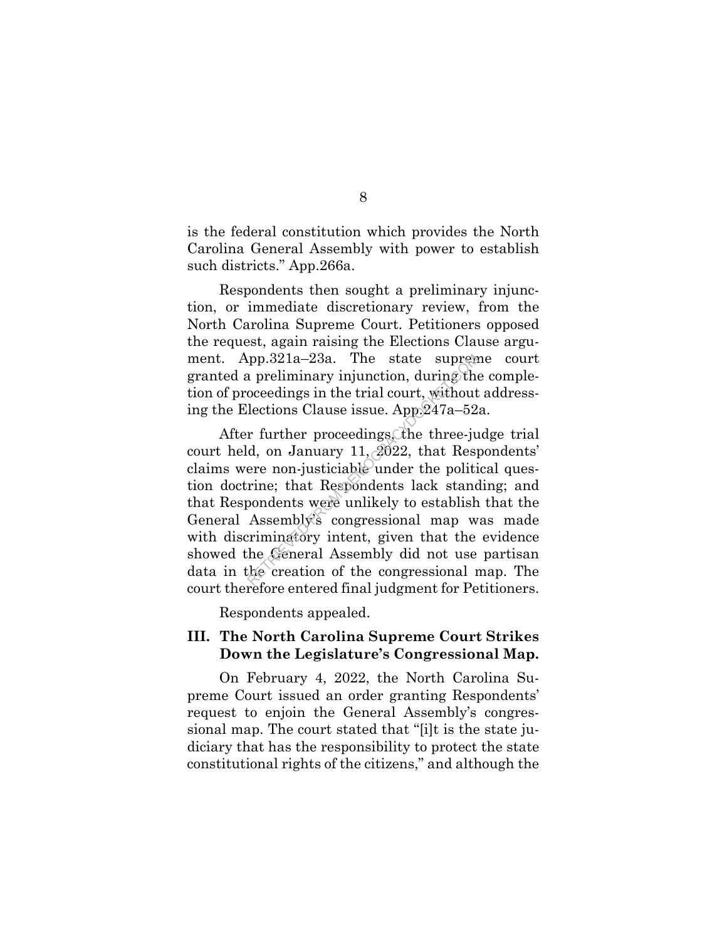is the federal constitution which provides the North Carolina General Assembly with power to establish such districts." App.266a.

Respondents then sought a preliminary injunction, or immediate discretionary review, from the North Carolina Supreme Court. Petitioners opposed the request, again raising the Elections Clause argument. App.321a–23a. The state supreme court granted a preliminary injunction, during the completion of proceedings in the trial court, without addressing the Elections Clause issue. App.247a–52a.

After further proceedings, the three-judge trial court held, on January 11, 2022, that Respondents' claims were non-justiciable under the political question doctrine; that Respondents lack standing; and that Respondents were unlikely to establish that the General Assembly's congressional map was made with discriminatory intent, given that the evidence showed the General Assembly did not use partisan data in the creation of the congressional map. The court therefore entered final judgment for Petitioners. pp.321a–23a. The state suprem<br>
a preliminary injunction, during the<br>
oceedings in the trial court, without<br>
lections Clause issue. App.247a–52<br>
r further proceedings the three-jud, on January 11, 2022, that Resp<br>
ere non-

Respondents appealed.

### **III. The North Carolina Supreme Court Strikes Down the Legislature's Congressional Map.**

On February 4, 2022, the North Carolina Supreme Court issued an order granting Respondents' request to enjoin the General Assembly's congressional map. The court stated that "[i]t is the state judiciary that has the responsibility to protect the state constitutional rights of the citizens," and although the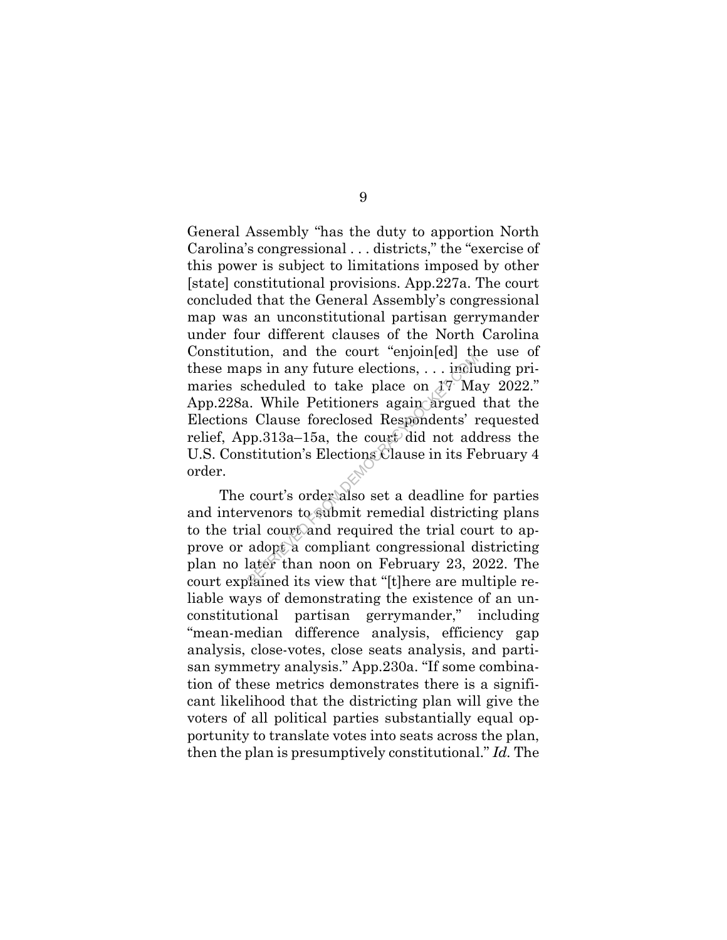General Assembly "has the duty to apportion North Carolina's congressional . . . districts," the "exercise of this power is subject to limitations imposed by other [state] constitutional provisions. App.227a. The court concluded that the General Assembly's congressional map was an unconstitutional partisan gerrymander under four different clauses of the North Carolina Constitution, and the court "enjoin[ed] the use of these maps in any future elections, . . . including primaries scheduled to take place on 17 May 2022." App.228a. While Petitioners again argued that the Elections Clause foreclosed Respondents' requested relief, App.313a–15a, the court did not address the U.S. Constitution's Elections Clause in its February 4 order. ps in any future elections, ... included to take place on  $17$  Ma<br>cheduled to take place on  $17$  Ma<br>c. While Petitioners again argued<br>Clause foreclosed Respondents' r<br>pp.313a–15a, the court did not add<br>stitution's Electio

The court's order also set a deadline for parties and intervenors to submit remedial districting plans to the trial court and required the trial court to approve or adopt a compliant congressional districting plan no later than noon on February 23, 2022. The court explained its view that "[t]here are multiple reliable ways of demonstrating the existence of an unconstitutional partisan gerrymander," including "mean-median difference analysis, efficiency gap analysis, close-votes, close seats analysis, and partisan symmetry analysis." App.230a. "If some combination of these metrics demonstrates there is a significant likelihood that the districting plan will give the voters of all political parties substantially equal opportunity to translate votes into seats across the plan, then the plan is presumptively constitutional." *Id.* The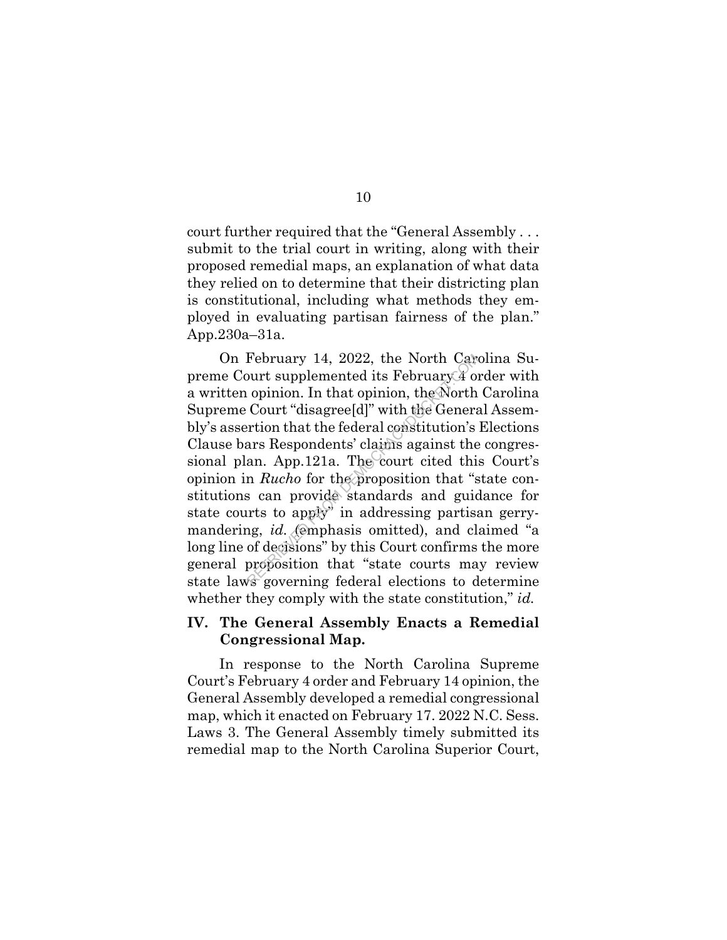court further required that the "General Assembly . . . submit to the trial court in writing, along with their proposed remedial maps, an explanation of what data they relied on to determine that their districting plan is constitutional, including what methods they employed in evaluating partisan fairness of the plan." App.230a–31a.

On February 14, 2022, the North Carolina Supreme Court supplemented its February 4 order with a written opinion. In that opinion, the North Carolina Supreme Court "disagree[d]" with the General Assembly's assertion that the federal constitution's Elections Clause bars Respondents' claims against the congressional plan. App.121a. The court cited this Court's opinion in *Rucho* for the proposition that "state constitutions can provide standards and guidance for state courts to apply" in addressing partisan gerrymandering, *id.* (emphasis omitted), and claimed "a long line of decisions" by this Court confirms the more general proposition that "state courts may review state laws governing federal elections to determine whether they comply with the state constitution," *id.* February 14, 2022, the North Cars<br>
purt supplemented its February 4 of<br>
opinion. In that opinion, the North<br>
Court "disagree[d]" with the Genera<br>
rrtion that the federal constitution's<br>
ars Respondents' claims against the

## **IV. The General Assembly Enacts a Remedial Congressional Map.**

In response to the North Carolina Supreme Court's February 4 order and February 14 opinion, the General Assembly developed a remedial congressional map, which it enacted on February 17. 2022 N.C. Sess. Laws 3. The General Assembly timely submitted its remedial map to the North Carolina Superior Court,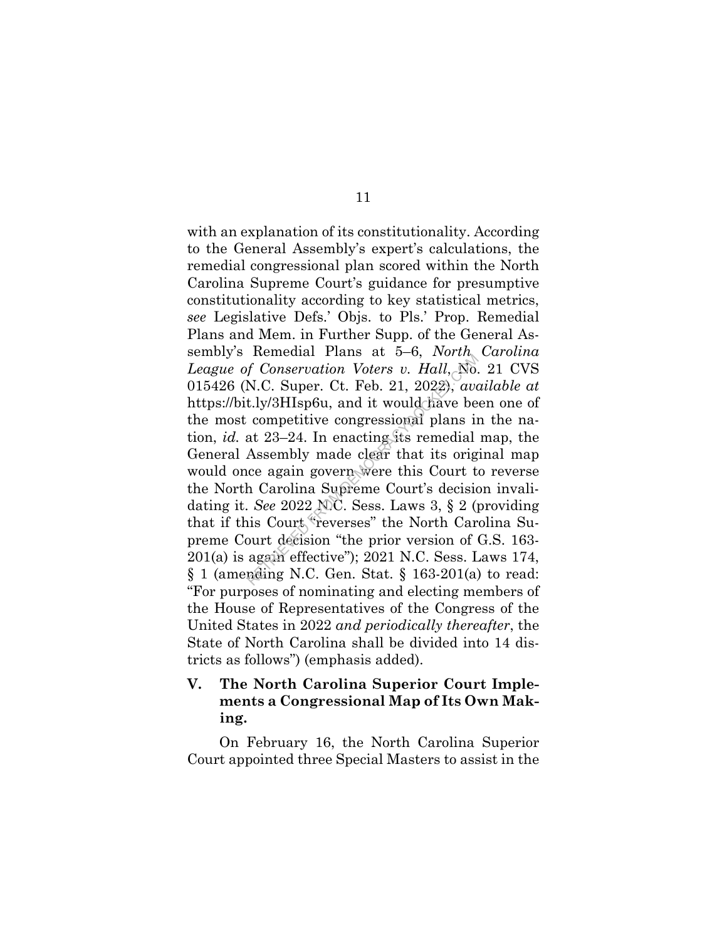with an explanation of its constitutionality. According to the General Assembly's expert's calculations, the remedial congressional plan scored within the North Carolina Supreme Court's guidance for presumptive constitutionality according to key statistical metrics, *see* Legislative Defs.' Objs. to Pls.' Prop. Remedial Plans and Mem. in Further Supp. of the General Assembly's Remedial Plans at 5–6, *North Carolina League of Conservation Voters v. Hall*, No. 21 CVS 015426 (N.C. Super. Ct. Feb. 21, 2022), *available at*  https://bit.ly/3HIsp6u, and it would have been one of the most competitive congressional plans in the nation, *id.* at 23–24. In enacting its remedial map, the General Assembly made clear that its original map would once again govern were this Court to reverse the North Carolina Supreme Court's decision invalidating it. *See* 2022 N.C. Sess. Laws 3, § 2 (providing that if this Court "reverses" the North Carolina Supreme Court decision "the prior version of G.S. 163- 201(a) is again effective"); 2021 N.C. Sess. Laws 174,  $\S$  1 (amending N.C. Gen. Stat.  $\S$  163-201(a) to read: "For purposes of nominating and electing members of the House of Representatives of the Congress of the United States in 2022 *and periodically thereafter*, the State of North Carolina shall be divided into 14 districts as follows") (emphasis added). remedian 1 rans at  $5-6$ , *Youth*<br>f Conservation Voters v. Hall, No.<br>N.C. Super. Ct. Feb. 21, 2022), ave<br>t.ly/3HIsp6u, and it would have be<br>competitive congressional plans in<br>at 23–24. In enacting its remedial<br>Assembly ma

## **V. The North Carolina Superior Court Implements a Congressional Map of Its Own Making.**

On February 16, the North Carolina Superior Court appointed three Special Masters to assist in the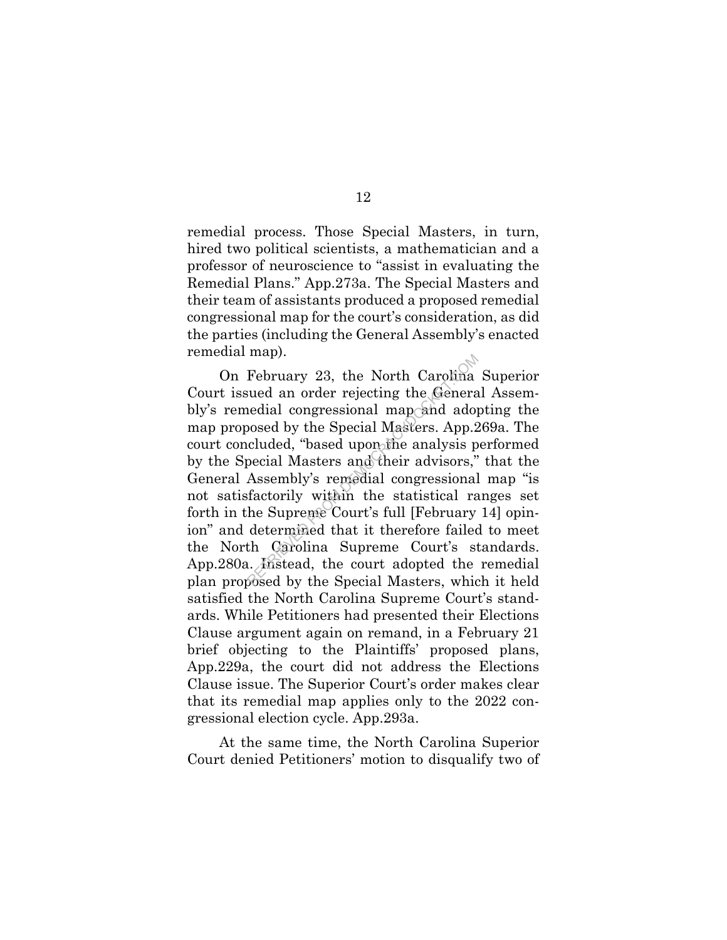remedial process. Those Special Masters, in turn, hired two political scientists, a mathematician and a professor of neuroscience to "assist in evaluating the Remedial Plans." App.273a. The Special Masters and their team of assistants produced a proposed remedial congressional map for the court's consideration, as did the parties (including the General Assembly's enacted remedial map).

On February 23, the North Carolina Superior Court issued an order rejecting the General Assembly's remedial congressional map and adopting the map proposed by the Special Masters. App.269a. The court concluded, "based upon the analysis performed by the Special Masters and their advisors," that the General Assembly's remedial congressional map "is not satisfactorily within the statistical ranges set forth in the Supreme Court's full [February 14] opinion" and determined that it therefore failed to meet the North Carolina Supreme Court's standards. App.280a. Instead, the court adopted the remedial plan proposed by the Special Masters, which it held satisfied the North Carolina Supreme Court's standards. While Petitioners had presented their Elections Clause argument again on remand, in a February 21 brief objecting to the Plaintiffs' proposed plans, App.229a, the court did not address the Elections Clause issue. The Superior Court's order makes clear that its remedial map applies only to the 2022 congressional election cycle. App.293a. February 23, the North Carolina<br>sued an order rejecting the Genera<br>nedial congressional map and ado<br>nosed by the Special Masters. App.2<br>cluded, "based upon the analysis p<br>pecial Masters and their advisors,"<br>Assembly's reme

At the same time, the North Carolina Superior Court denied Petitioners' motion to disqualify two of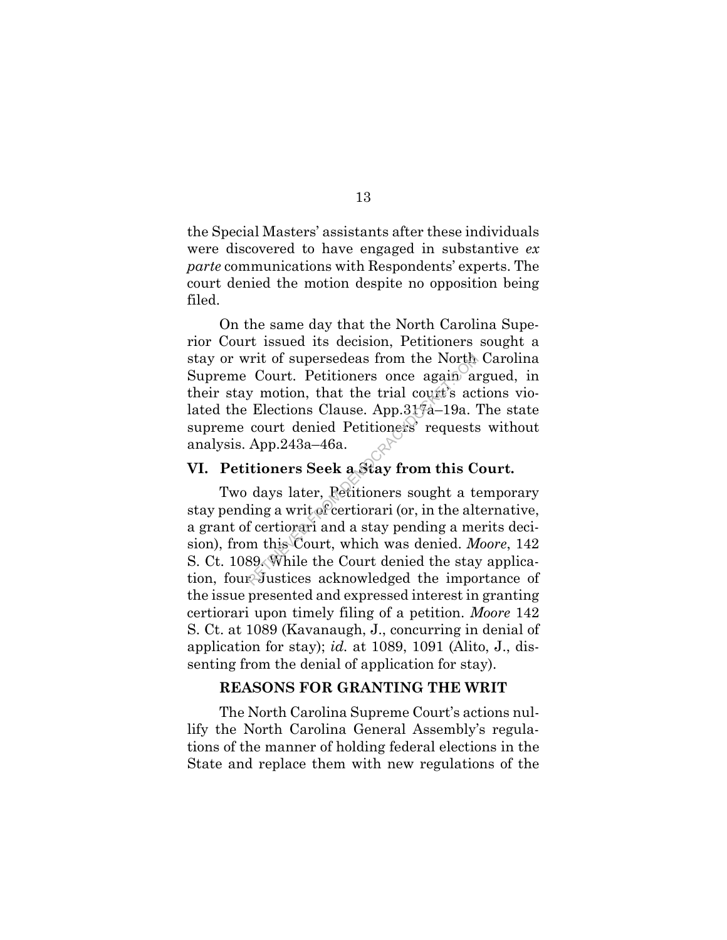the Special Masters' assistants after these individuals were discovered to have engaged in substantive *ex parte* communications with Respondents' experts. The court denied the motion despite no opposition being filed.

On the same day that the North Carolina Superior Court issued its decision, Petitioners sought a stay or writ of supersedeas from the North Carolina Supreme Court. Petitioners once again argued, in their stay motion, that the trial court's actions violated the Elections Clause. App.317a–19a. The state supreme court denied Petitioners' requests without analysis. App.243a–46a.

#### **VI. Petitioners Seek a Stay from this Court.**

Two days later, Petitioners sought a temporary stay pending a writ of certiorari (or, in the alternative, a grant of certiorari and a stay pending a merits decision), from this Court, which was denied. *Moore*, 142 S. Ct. 1089. While the Court denied the stay application, four Justices acknowledged the importance of the issue presented and expressed interest in granting certiorari upon timely filing of a petition. *Moore* 142 S. Ct. at 1089 (Kavanaugh, J., concurring in denial of application for stay); *id.* at 1089, 1091 (Alito, J., dissenting from the denial of application for stay). Fit of supersedeas from the North<br>Court. Petitioners once again and<br>y motion, that the trial court's act<br>Elections Clause. App.317a–19a.<br>Court denied Petitioners' requests<br>App.243a–46a.<br>Compared and Star from this C<br>days

#### **REASONS FOR GRANTING THE WRIT**

The North Carolina Supreme Court's actions nullify the North Carolina General Assembly's regulations of the manner of holding federal elections in the State and replace them with new regulations of the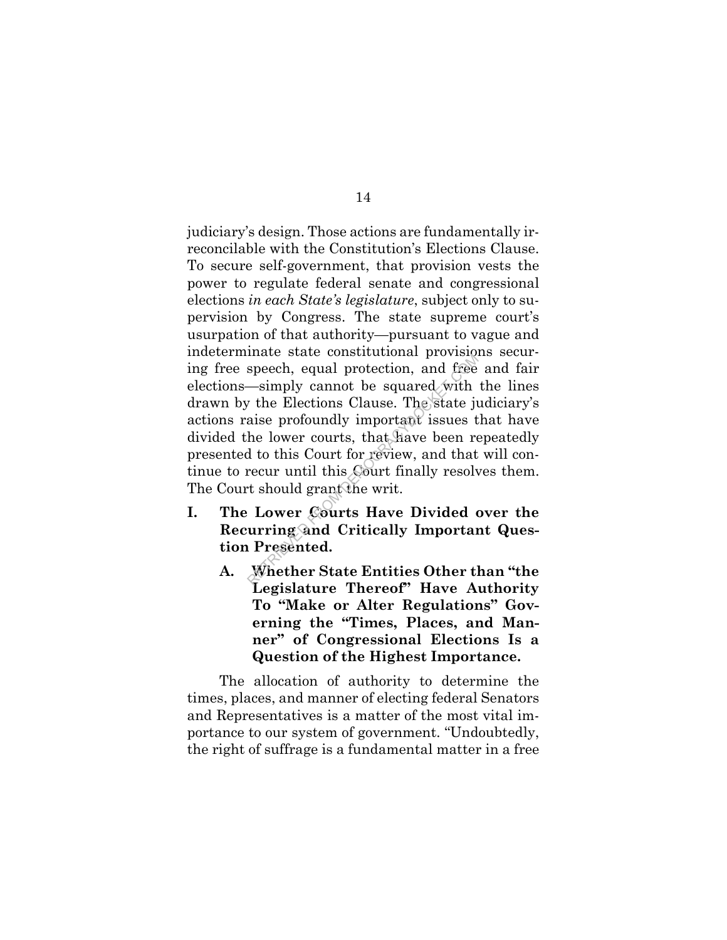judiciary's design. Those actions are fundamentally irreconcilable with the Constitution's Elections Clause. To secure self-government, that provision vests the power to regulate federal senate and congressional elections *in each State's legislature*, subject only to supervision by Congress. The state supreme court's usurpation of that authority—pursuant to vague and indeterminate state constitutional provisions securing free speech, equal protection, and free and fair elections—simply cannot be squared with the lines drawn by the Elections Clause. The state judiciary's actions raise profoundly important issues that have divided the lower courts, that have been repeatedly presented to this Court for review, and that will continue to recur until this Court finally resolves them. The Court should grant the writ. mate state constructional provisity,<br>speech, equal protection, and free<br>—simply cannot be squared with<br>
the Elections Clause. The state ju<br>
aise profoundly important issues t<br>
he lower courts, that have been re<br>
d to this

- **I. The Lower Courts Have Divided over the Recurring and Critically Important Question Presented.** 
	- **A. Whether State Entities Other than "the Legislature Thereof" Have Authority To "Make or Alter Regulations" Governing the "Times, Places, and Manner" of Congressional Elections Is a Question of the Highest Importance.**

The allocation of authority to determine the times, places, and manner of electing federal Senators and Representatives is a matter of the most vital importance to our system of government. "Undoubtedly, the right of suffrage is a fundamental matter in a free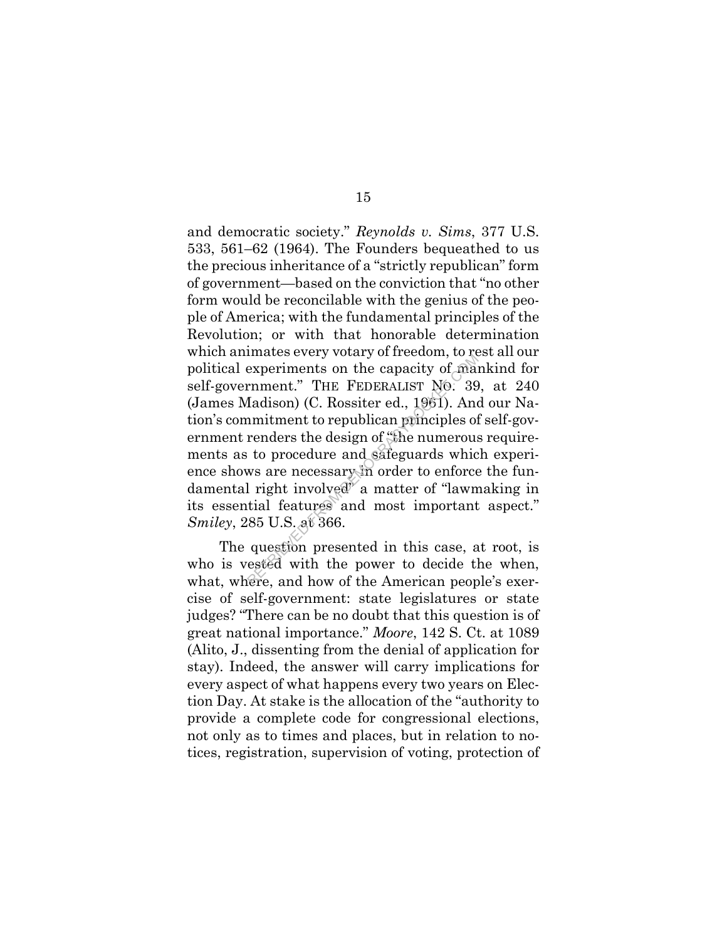and democratic society." *Reynolds v. Sims*, 377 U.S. 533, 561–62 (1964). The Founders bequeathed to us the precious inheritance of a "strictly republican" form of government—based on the conviction that "no other form would be reconcilable with the genius of the people of America; with the fundamental principles of the Revolution; or with that honorable determination which animates every votary of freedom, to rest all our political experiments on the capacity of mankind for self-government." THE FEDERALIST NO. 39, at 240 (James Madison) (C. Rossiter ed., 1961). And our Nation's commitment to republican principles of self-government renders the design of "the numerous requirements as to procedure and safeguards which experience shows are necessary in order to enforce the fundamental right involved" a matter of "lawmaking in its essential features and most important aspect." *Smiley*, 285 U.S. at 366. mates every votary of frection, to resperiments on the capacity of manument." THE FEDERALIST NO: 39 Iadison) (C. Rossiter ed., 1961). Anomitment to republican principles of renders the design of "the numerous to procedure

The question presented in this case, at root, is who is vested with the power to decide the when, what, where, and how of the American people's exercise of self-government: state legislatures or state judges? "There can be no doubt that this question is of great national importance." *Moore*, 142 S. Ct. at 1089 (Alito, J., dissenting from the denial of application for stay). Indeed, the answer will carry implications for every aspect of what happens every two years on Election Day. At stake is the allocation of the "authority to provide a complete code for congressional elections, not only as to times and places, but in relation to notices, registration, supervision of voting, protection of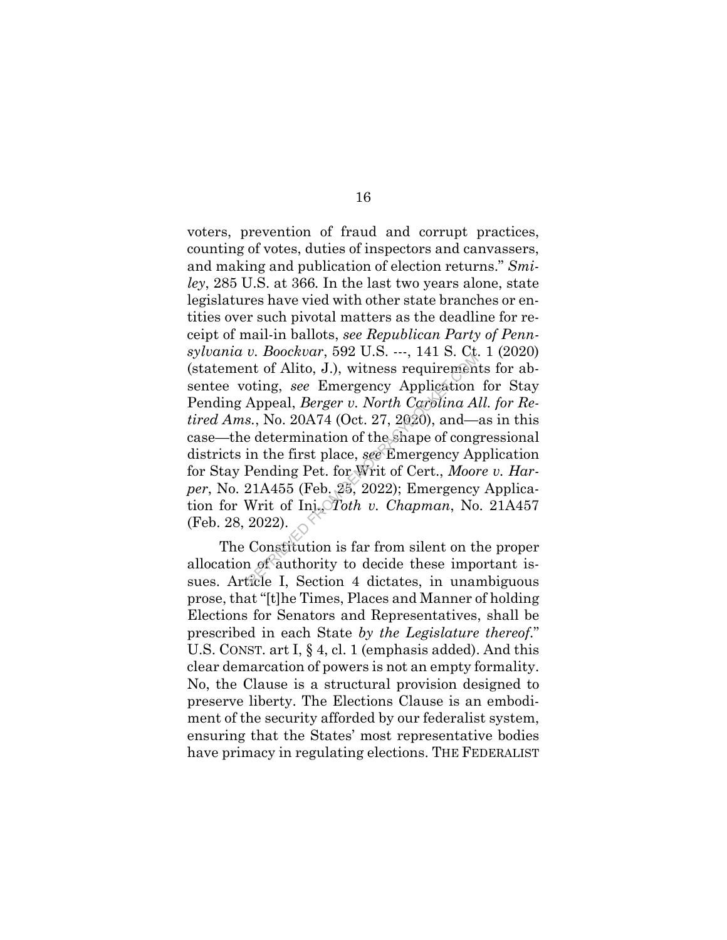voters, prevention of fraud and corrupt practices, counting of votes, duties of inspectors and canvassers, and making and publication of election returns." *Smiley*, 285 U.S. at 366*.* In the last two years alone, state legislatures have vied with other state branches or entities over such pivotal matters as the deadline for receipt of mail-in ballots, *see Republican Party of Pennsylvania v. Boockvar*, 592 U.S. ---, 141 S. Ct. 1 (2020) (statement of Alito, J.), witness requirements for absentee voting, *see* Emergency Application for Stay Pending Appeal, *Berger v. North Carolina All. for Retired Ams.*, No. 20A74 (Oct. 27, 2020), and—as in this case—the determination of the shape of congressional districts in the first place, *see* Emergency Application for Stay Pending Pet. for Writ of Cert., *Moore v. Harper*, No. 21A455 (Feb. 25, 2022); Emergency Application for Writ of Inj., *Toth v. Chapman*, No. 21A457 (Feb. 28, 2022). b. Boochear, 332 C.S.  $-1$ , 141 S. C.<br>
ht of Alito, J.), witness requiremen<br>
oting, see Emergency Application<br>
Appeal, *Berger v. North Carolina A*<br>
s., No. 20A74 (Oct. 27, 2020), and—<br>
e determination of the Shape of con

The Constitution is far from silent on the proper allocation of authority to decide these important issues. Article I, Section 4 dictates, in unambiguous prose, that "[t]he Times, Places and Manner of holding Elections for Senators and Representatives, shall be prescribed in each State *by the Legislature thereof*." U.S. CONST. art I, § 4, cl. 1 (emphasis added). And this clear demarcation of powers is not an empty formality. No, the Clause is a structural provision designed to preserve liberty. The Elections Clause is an embodiment of the security afforded by our federalist system, ensuring that the States' most representative bodies have primacy in regulating elections. THE FEDERALIST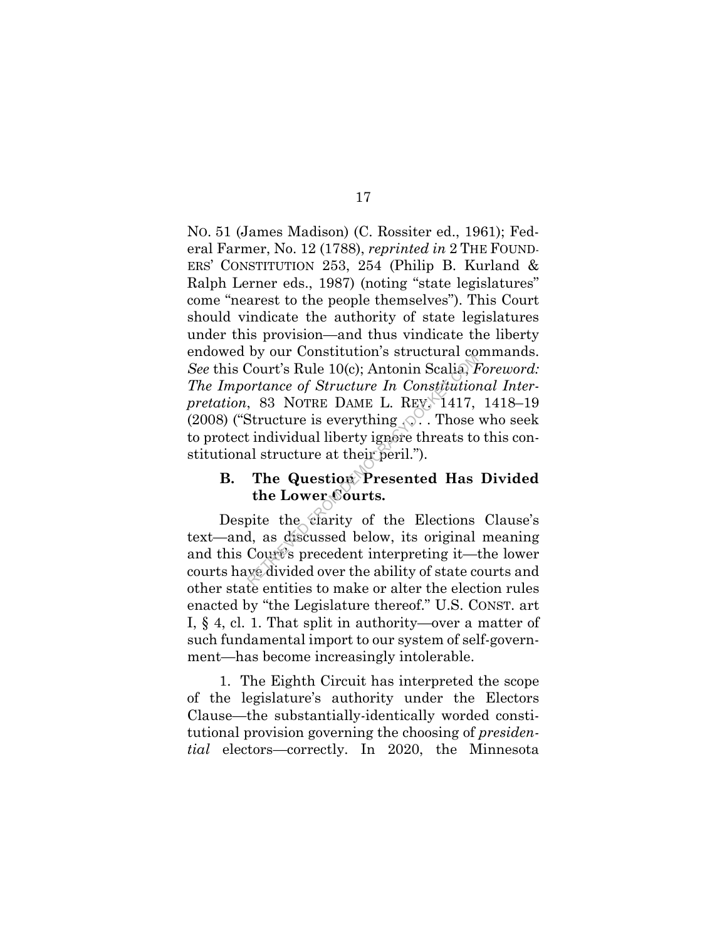NO. 51 (James Madison) (C. Rossiter ed., 1961); Federal Farmer, No. 12 (1788), *reprinted in* 2 THE FOUND-ERS' CONSTITUTION 253, 254 (Philip B. Kurland & Ralph Lerner eds., 1987) (noting "state legislatures" come "nearest to the people themselves"). This Court should vindicate the authority of state legislatures under this provision—and thus vindicate the liberty endowed by our Constitution's structural commands. *See* this Court's Rule 10(c); Antonin Scalia, *Foreword: The Importance of Structure In Constitutional Interpretation*, 83 NOTRE DAME L. REV. 1417, 1418–19 (2008) ("Structure is everything  $\Diamond$ ". Those who seek to protect individual liberty ignore threats to this constitutional structure at their peril."). Court's Rule 10(c); Antonin Scalia, *P*<br>court's Rule 10(c); Antonin Scalia, *P*<br>prtance of Structure In Constitution<br>, 83 NOTRE DAME L. REV. 1417,<br>Structure is everything  $\sqrt{2}$ . Those<br>t individual liberty ignore threats

## **B. The Question Presented Has Divided the Lower Courts.**

Despite the clarity of the Elections Clause's text—and, as discussed below, its original meaning and this Court's precedent interpreting it—the lower courts have divided over the ability of state courts and other state entities to make or alter the election rules enacted by "the Legislature thereof." U.S. CONST. art I, § 4, cl. 1. That split in authority—over a matter of such fundamental import to our system of self-government—has become increasingly intolerable.

1. The Eighth Circuit has interpreted the scope of the legislature's authority under the Electors Clause—the substantially-identically worded constitutional provision governing the choosing of *presidential* electors—correctly. In 2020, the Minnesota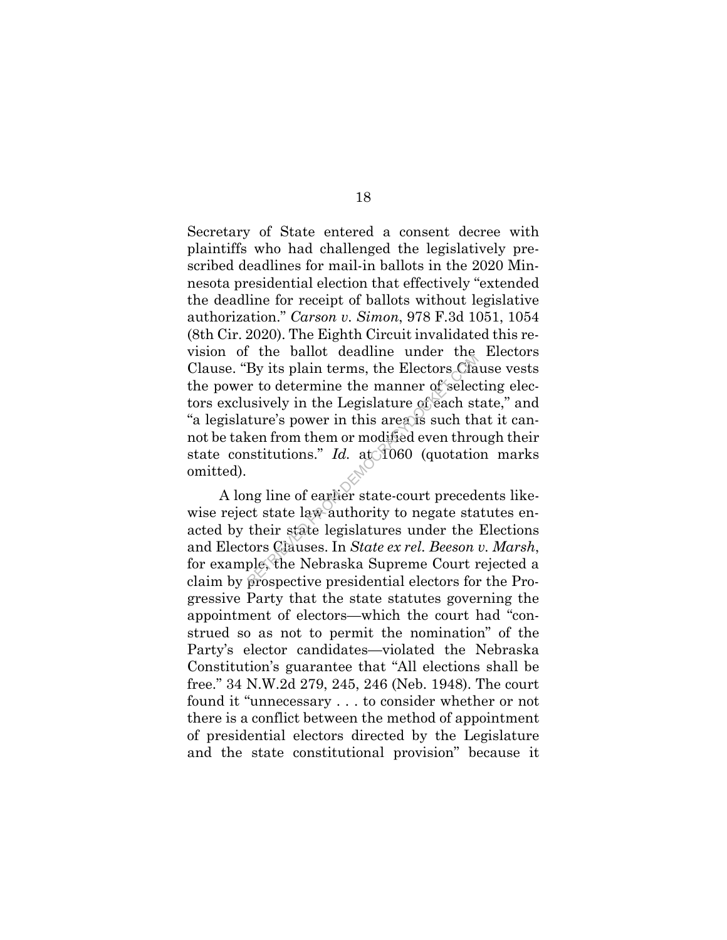Secretary of State entered a consent decree with plaintiffs who had challenged the legislatively prescribed deadlines for mail-in ballots in the 2020 Minnesota presidential election that effectively "extended the deadline for receipt of ballots without legislative authorization." *Carson v. Simon*, 978 F.3d 1051, 1054 (8th Cir. 2020). The Eighth Circuit invalidated this revision of the ballot deadline under the Electors Clause. "By its plain terms, the Electors Clause vests the power to determine the manner of selecting electors exclusively in the Legislature of each state," and "a legislature's power in this area is such that it cannot be taken from them or modified even through their state constitutions." *Id.* at 1060 (quotation marks omitted). By its plain terms, the Electors Cla<br>
r to determine the manner of selectors Cla<br>
r to determine the manner of selectors<br>
usively in the Legislature of each st<br>
ture's power in this area is such the<br>
sen from them or modi

A long line of earlier state-court precedents likewise reject state law authority to negate statutes enacted by their state legislatures under the Elections and Electors Clauses. In *State ex rel. Beeson v. Marsh*, for example, the Nebraska Supreme Court rejected a claim by prospective presidential electors for the Progressive Party that the state statutes governing the appointment of electors—which the court had "construed so as not to permit the nomination" of the Party's elector candidates—violated the Nebraska Constitution's guarantee that "All elections shall be free." 34 N.W.2d 279, 245, 246 (Neb. 1948). The court found it "unnecessary . . . to consider whether or not there is a conflict between the method of appointment of presidential electors directed by the Legislature and the state constitutional provision" because it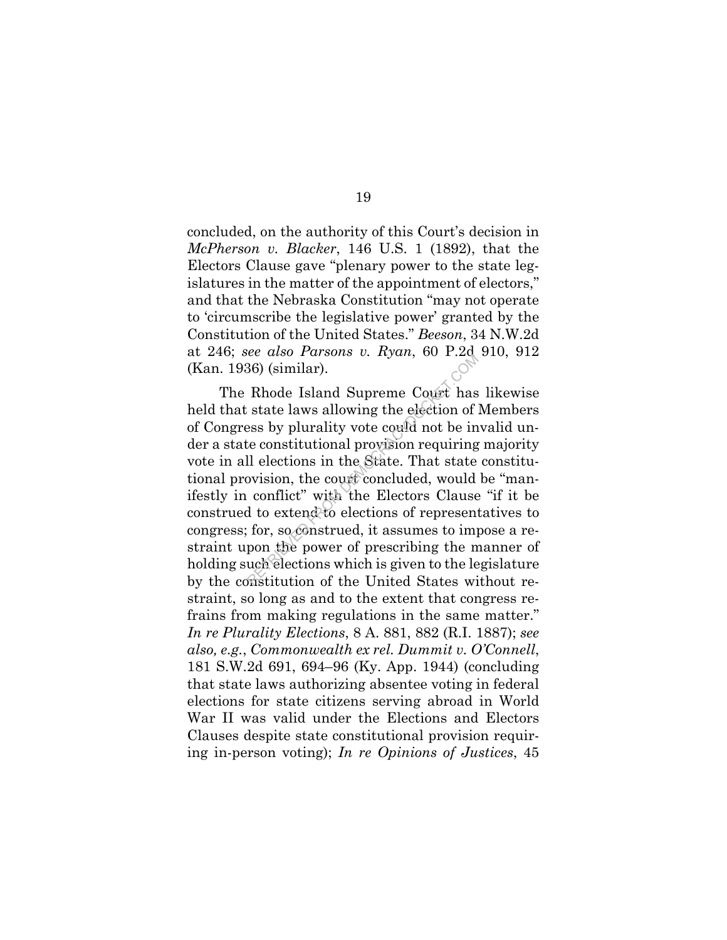concluded, on the authority of this Court's decision in *McPherson v. Blacker*, 146 U.S. 1 (1892), that the Electors Clause gave "plenary power to the state legislatures in the matter of the appointment of electors," and that the Nebraska Constitution "may not operate to 'circumscribe the legislative power' granted by the Constitution of the United States." *Beeson*, 34 N.W.2d at 246; *see also Parsons v. Ryan*, 60 P.2d 910, 912 (Kan. 1936) (similar).

The Rhode Island Supreme Court has likewise held that state laws allowing the election of Members of Congress by plurality vote could not be invalid under a state constitutional provision requiring majority vote in all elections in the State. That state constitutional provision, the court concluded, would be "manifestly in conflict" with the Electors Clause "if it be construed to extend to elections of representatives to congress; for, so construed, it assumes to impose a restraint upon the power of prescribing the manner of holding such elections which is given to the legislature by the constitution of the United States without restraint, so long as and to the extent that congress refrains from making regulations in the same matter." *In re Plurality Elections*, 8 A. 881, 882 (R.I. 1887); *see also, e.g.*, *Commonwealth ex rel. Dummit v. O'Connell*, 181 S.W.2d 691, 694–96 (Ky. App. 1944) (concluding that state laws authorizing absentee voting in federal elections for state citizens serving abroad in World War II was valid under the Elections and Electors Clauses despite state constitutional provision requiring in-person voting); *In re Opinions of Justices*, 45 Example 1 also Farsons 6. Hyan, 60 1.20<br>36) (similar).<br>Rhode Island Supreme Court has<br>state laws allowing the election of<br>ess by plurality vote could not be in<br>the constitutional provision requiring<br>ll elections in the Sta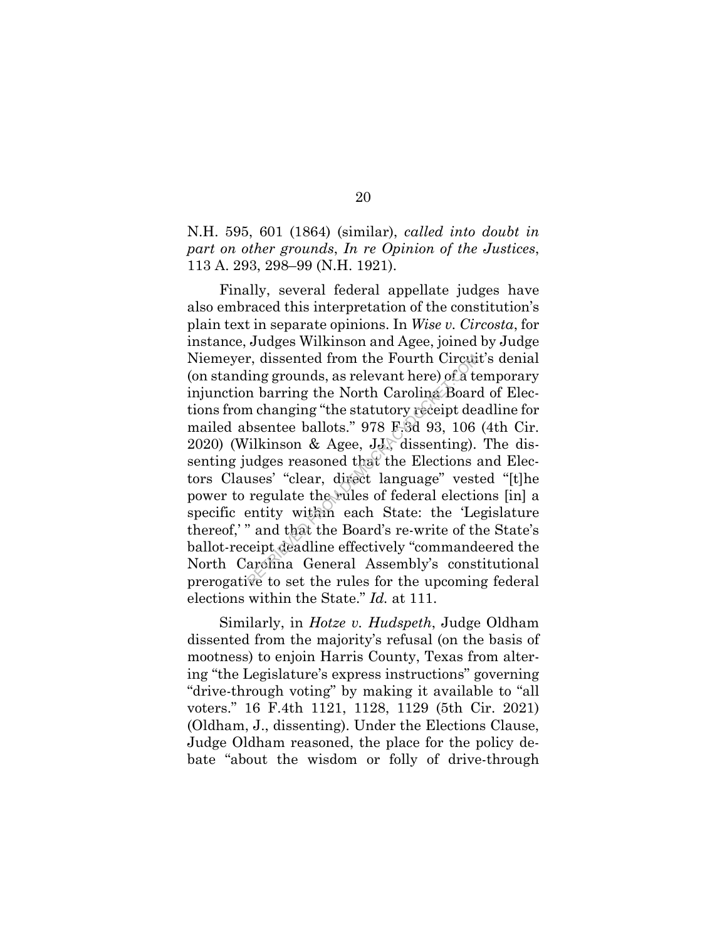N.H. 595, 601 (1864) (similar), *called into doubt in part on other grounds*, *In re Opinion of the Justices*, 113 A. 293, 298–99 (N.H. 1921).

Finally, several federal appellate judges have also embraced this interpretation of the constitution's plain text in separate opinions. In *Wise v. Circosta*, for instance, Judges Wilkinson and Agee, joined by Judge Niemeyer, dissented from the Fourth Circuit's denial (on standing grounds, as relevant here) of a temporary injunction barring the North Carolina Board of Elections from changing "the statutory receipt deadline for mailed absentee ballots." 978 F.3d 93, 106 (4th Cir.  $2020$ ) (Wilkinson & Agee, J.J., dissenting). The dissenting judges reasoned that the Elections and Electors Clauses' "clear, direct language" vested "[t]he power to regulate the rules of federal elections [in] a specific entity within each State: the 'Legislature thereof,' " and that the Board's re-write of the State's ballot-receipt deadline effectively "commandeered the North Carolina General Assembly's constitutional prerogative to set the rules for the upcoming federal elections within the State." *Id.* at 111. r, dissented from the Fourth Circui<br>ing grounds, as relevant here) of a to<br>n barring the North Carolina Board<br>n changing "the statutory receipt de:<br>bsentee ballots." 978 F.3d 93, 106<br>ilkinson & Agee, JJ, dissenting).<br>udges

Similarly, in *Hotze v. Hudspeth*, Judge Oldham dissented from the majority's refusal (on the basis of mootness) to enjoin Harris County, Texas from altering "the Legislature's express instructions" governing "drive-through voting" by making it available to "all voters." 16 F.4th 1121, 1128, 1129 (5th Cir. 2021) (Oldham, J., dissenting). Under the Elections Clause, Judge Oldham reasoned, the place for the policy debate "about the wisdom or folly of drive-through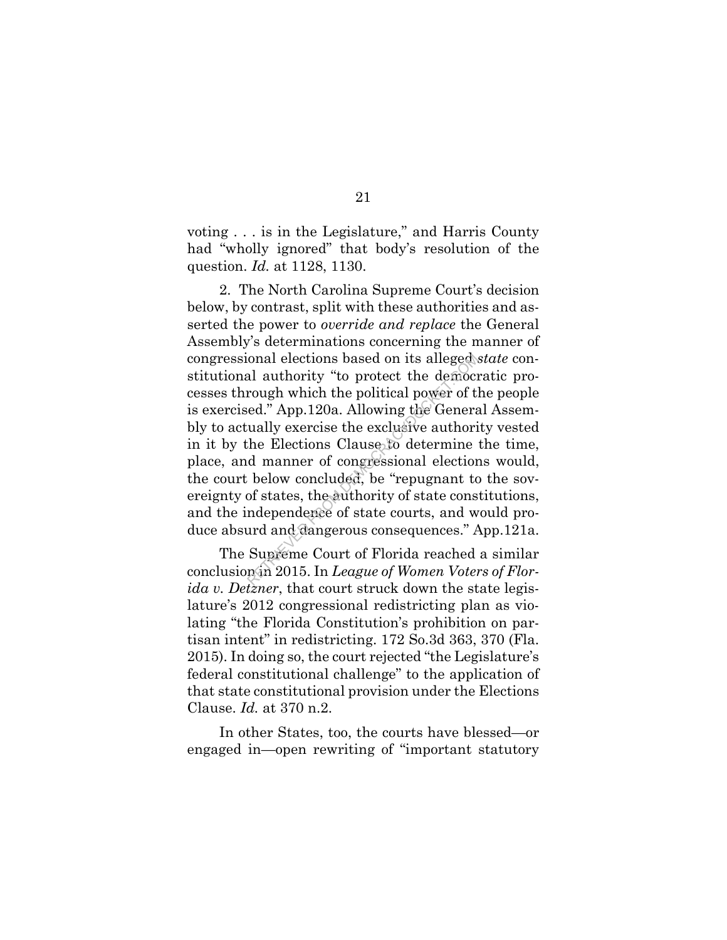voting . . . is in the Legislature," and Harris County had "wholly ignored" that body's resolution of the question. *Id.* at 1128, 1130.

2. The North Carolina Supreme Court's decision below, by contrast, split with these authorities and asserted the power to *override and replace* the General Assembly's determinations concerning the manner of congressional elections based on its alleged *state* constitutional authority "to protect the democratic processes through which the political power of the people is exercised." App.120a. Allowing the General Assembly to actually exercise the exclusive authority vested in it by the Elections Clause to determine the time, place, and manner of congressional elections would, the court below concluded, be "repugnant to the sovereignty of states, the authority of state constitutions, and the independence of state courts, and would produce absurd and dangerous consequences." App.121a. onal elections based on its alleged.<br>
al authority "to protect the democration and which the political power of the democration. Allowing the Generation and provide a surface is determined manner of congressional election

The Supreme Court of Florida reached a similar conclusion in 2015. In *League of Women Voters of Florida v. Detzner*, that court struck down the state legislature's 2012 congressional redistricting plan as violating "the Florida Constitution's prohibition on partisan intent" in redistricting. 172 So.3d 363, 370 (Fla. 2015). In doing so, the court rejected "the Legislature's federal constitutional challenge" to the application of that state constitutional provision under the Elections Clause. *Id.* at 370 n.2.

In other States, too, the courts have blessed—or engaged in—open rewriting of "important statutory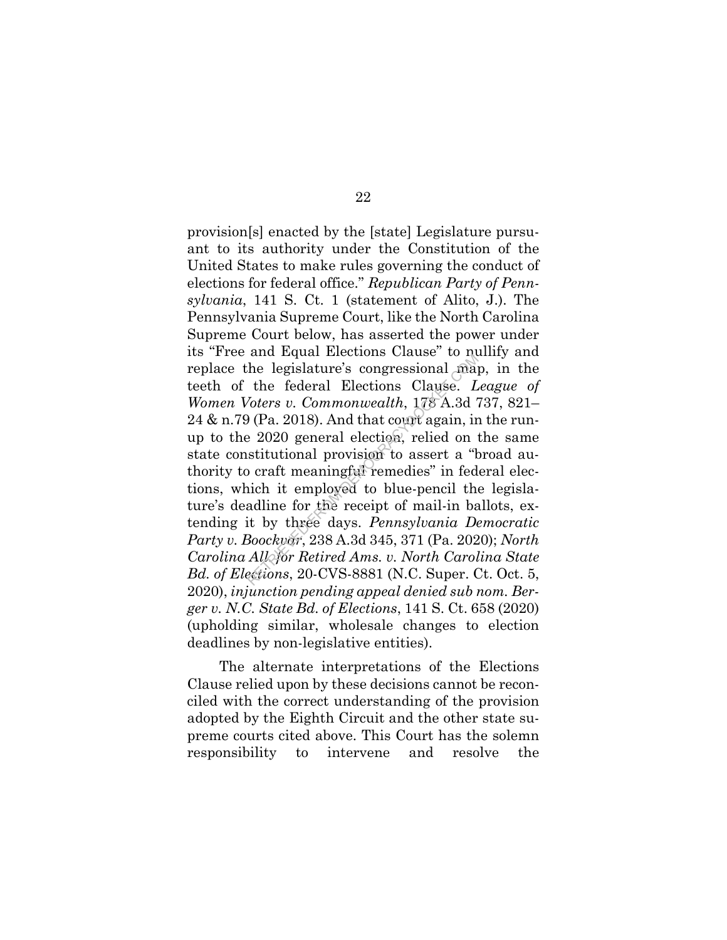provision[s] enacted by the [state] Legislature pursuant to its authority under the Constitution of the United States to make rules governing the conduct of elections for federal office." *Republican Party of Pennsylvania*, 141 S. Ct. 1 (statement of Alito, J.). The Pennsylvania Supreme Court, like the North Carolina Supreme Court below, has asserted the power under its "Free and Equal Elections Clause" to nullify and replace the legislature's congressional map, in the teeth of the federal Elections Clause. *League of Women Voters v. Commonwealth*, 178 A.3d 737, 821–  $24 \&$  n.79 (Pa. 2018). And that count again, in the runup to the 2020 general election, relied on the same state constitutional provision to assert a "broad authority to craft meaningful remedies" in federal elections, which it employed to blue-pencil the legislature's deadline for the receipt of mail-in ballots, extending it by three days. *Pennsylvania Democratic Party v. Boockvar*, 238 A.3d 345, 371 (Pa. 2020); *North Carolina All. for Retired Ams. v. North Carolina State Bd. of Elections*, 20-CVS-8881 (N.C. Super. Ct. Oct. 5, 2020), *injunction pending appeal denied sub nom. Berger v. N.C. State Bd. of Elections*, 141 S. Ct. 658 (2020) (upholding similar, wholesale changes to election deadlines by non-legislative entities). and Equal Elections Clause to new<br>the legislature's congressional may<br>the federal Elections Clause. L<br>loters v. Commonwealth, 178 A.3d<br>(Pa. 2018). And that count again, in<br>e 2020 general election, relied on institutional p

The alternate interpretations of the Elections Clause relied upon by these decisions cannot be reconciled with the correct understanding of the provision adopted by the Eighth Circuit and the other state supreme courts cited above. This Court has the solemn responsibility to intervene and resolve the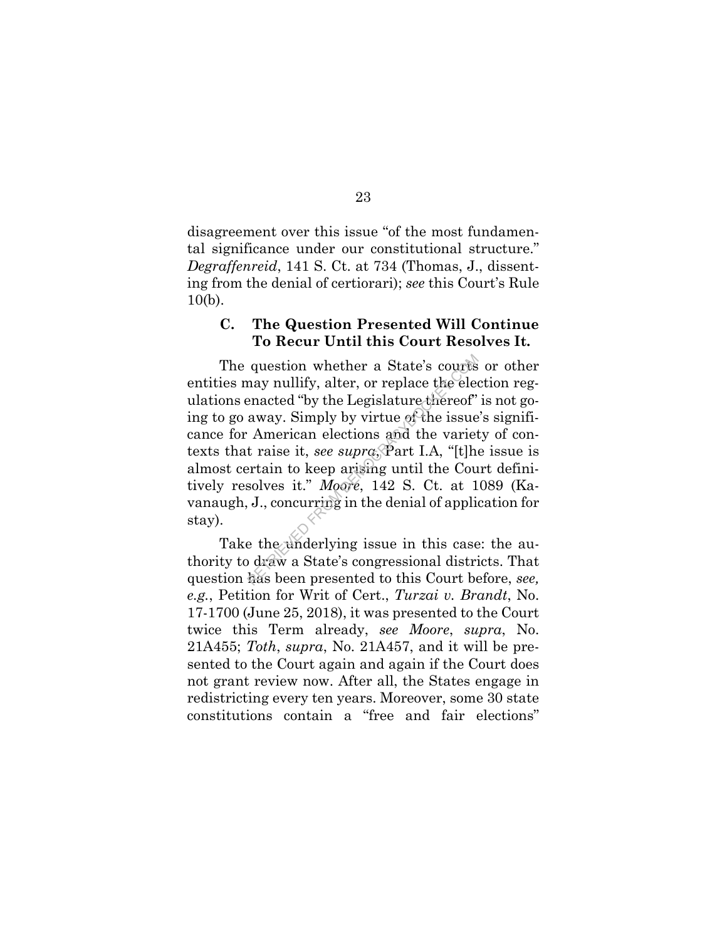disagreement over this issue "of the most fundamental significance under our constitutional structure." *Degraffenreid*, 141 S. Ct. at 734 (Thomas, J., dissenting from the denial of certiorari); *see* this Court's Rule 10(b).

#### **C. The Question Presented Will Continue To Recur Until this Court Resolves It.**

The question whether a State's courts or other entities may nullify, alter, or replace the election regulations enacted "by the Legislature thereof" is not going to go away. Simply by virtue of the issue's significance for American elections and the variety of contexts that raise it, *see supra*, Part I.A, "[t]he issue is almost certain to keep arising until the Court definitively resolves it." *Moore*, 142 S. Ct. at 1089 (Kavanaugh, J., concurring in the denial of application for stay). question whether a State's courts<br>nay nullify, alter, or replace the elec-<br>enacted "by the Legislature thereof"<br>away. Simply by virtue of the issue<br>American elections and the variet<br>t raise it, *see supro*, Part I.A, "[t]h

Take the underlying issue in this case: the authority to draw a State's congressional districts. That question has been presented to this Court before, *see, e.g.*, Petition for Writ of Cert., *Turzai v. Brandt*, No. 17-1700 (June 25, 2018), it was presented to the Court twice this Term already, *see Moore*, *supra*, No. 21A455; *Toth*, *supra*, No. 21A457, and it will be presented to the Court again and again if the Court does not grant review now. After all, the States engage in redistricting every ten years. Moreover, some 30 state constitutions contain a "free and fair elections"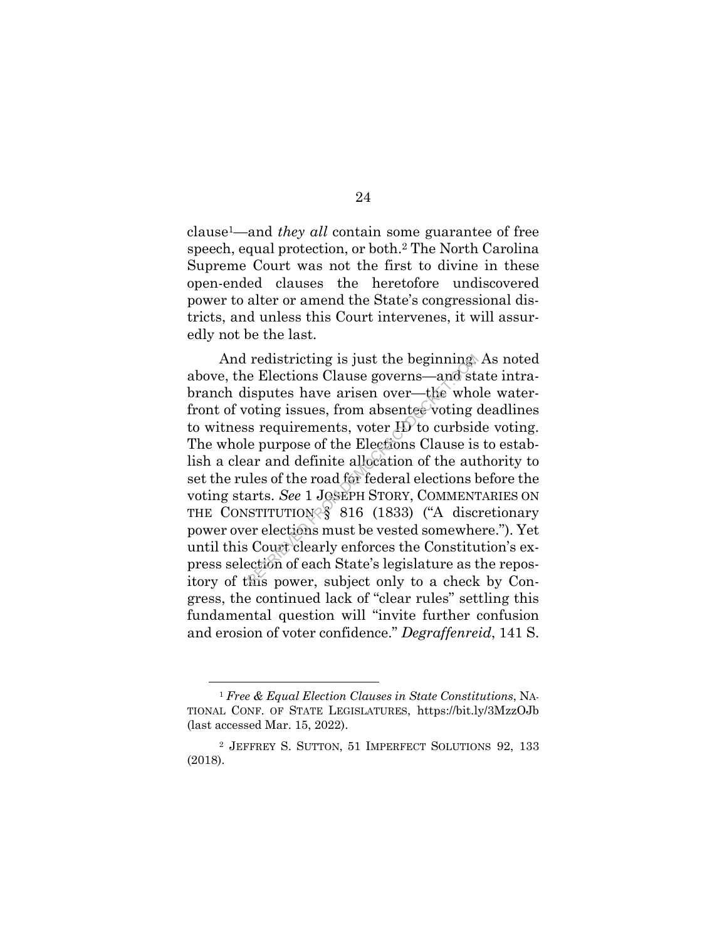clause1—and *they all* contain some guarantee of free speech, equal protection, or both.2 The North Carolina Supreme Court was not the first to divine in these open-ended clauses the heretofore undiscovered power to alter or amend the State's congressional districts, and unless this Court intervenes, it will assuredly not be the last.

And redistricting is just the beginning. As noted above, the Elections Clause governs—and state intrabranch disputes have arisen over—the whole waterfront of voting issues, from absentee voting deadlines to witness requirements, voter ID to curbside voting. The whole purpose of the Elections Clause is to establish a clear and definite allocation of the authority to set the rules of the road for federal elections before the voting starts. *See* 1 JOSEPH STORY, COMMENTARIES ON THE CONSTITUTION § 816 (1833) ("A discretionary power over elections must be vested somewhere."). Yet until this Court clearly enforces the Constitution's express selection of each State's legislature as the repository of this power, subject only to a check by Congress, the continued lack of "clear rules" settling this fundamental question will "invite further confusion and erosion of voter confidence." *Degraffenreid*, 141 S. redistricting is just the beginning<br>e Elections Clause governs—and st.<br>isputes have arisen over—the who<br>oting issues, from absentee voting  $\alpha$ <br>is requirements, voter  $\overline{H}$  to curbsic<br>e purpose of the Elections Clause

<sup>1</sup> *Free & Equal Election Clauses in State Constitutions*, NA-TIONAL CONF. OF STATE LEGISLATURES, https://bit.ly/3MzzOJb (last accessed Mar. 15, 2022).

<sup>2</sup> JEFFREY S. SUTTON, 51 IMPERFECT SOLUTIONS 92, 133 (2018).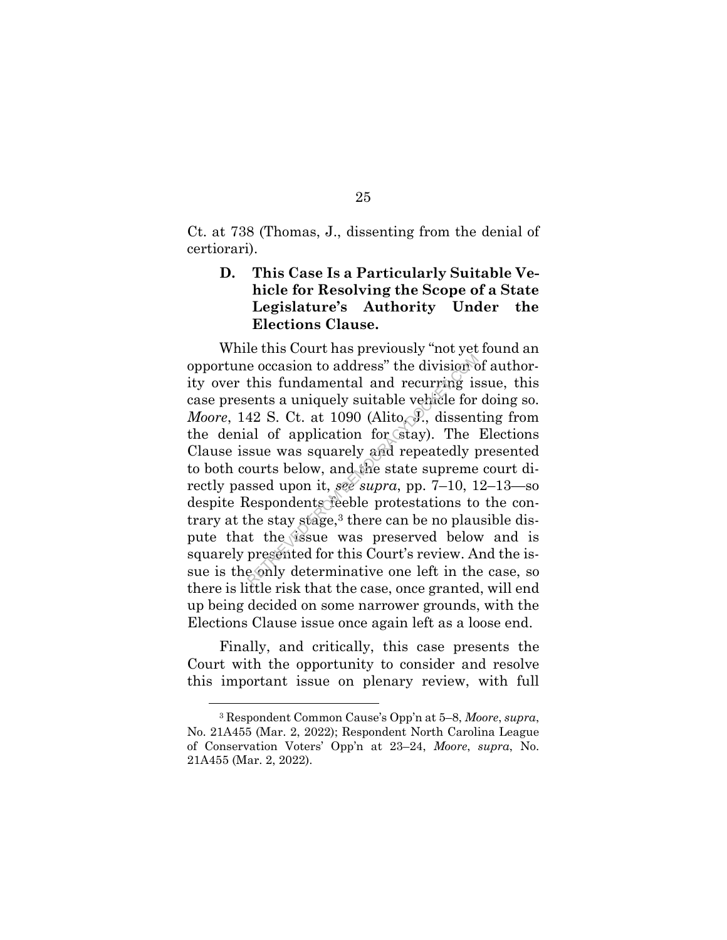Ct. at 738 (Thomas, J., dissenting from the denial of certiorari).

## **D. This Case Is a Particularly Suitable Vehicle for Resolving the Scope of a State Legislature's Authority Under the Elections Clause.**

While this Court has previously "not yet found an opportune occasion to address" the division of authority over this fundamental and recurring issue, this case presents a uniquely suitable vehicle for doing so. *Moore*, 142 S. Ct. at 1090 (Alito, J., dissenting from the denial of application for stay). The Elections Clause issue was squarely and repeatedly presented to both courts below, and the state supreme court directly passed upon it, *see supra*, pp. 7–10, 12–13—so despite Respondents feeble protestations to the contrary at the stay stage, $3$  there can be no plausible dispute that the issue was preserved below and is squarely presented for this Court's review. And the issue is the only determinative one left in the case, so there is little risk that the case, once granted, will end up being decided on some narrower grounds, with the Elections Clause issue once again left as a loose end. e occasion to address" the division c<br>this fundamental and recurring is<br>ents a uniquely suitable vehicle for<br>42 S. Ct. at 1090 (Alito, J., dissent<br>al of application for stay). The<br>susue was squarely and repeatedly p<br>ourts

Finally, and critically, this case presents the Court with the opportunity to consider and resolve this important issue on plenary review, with full

<sup>3</sup> Respondent Common Cause's Opp'n at 5–8, *Moore*, *supra*, No. 21A455 (Mar. 2, 2022); Respondent North Carolina League of Conservation Voters' Opp'n at 23–24, *Moore*, *supra*, No. 21A455 (Mar. 2, 2022).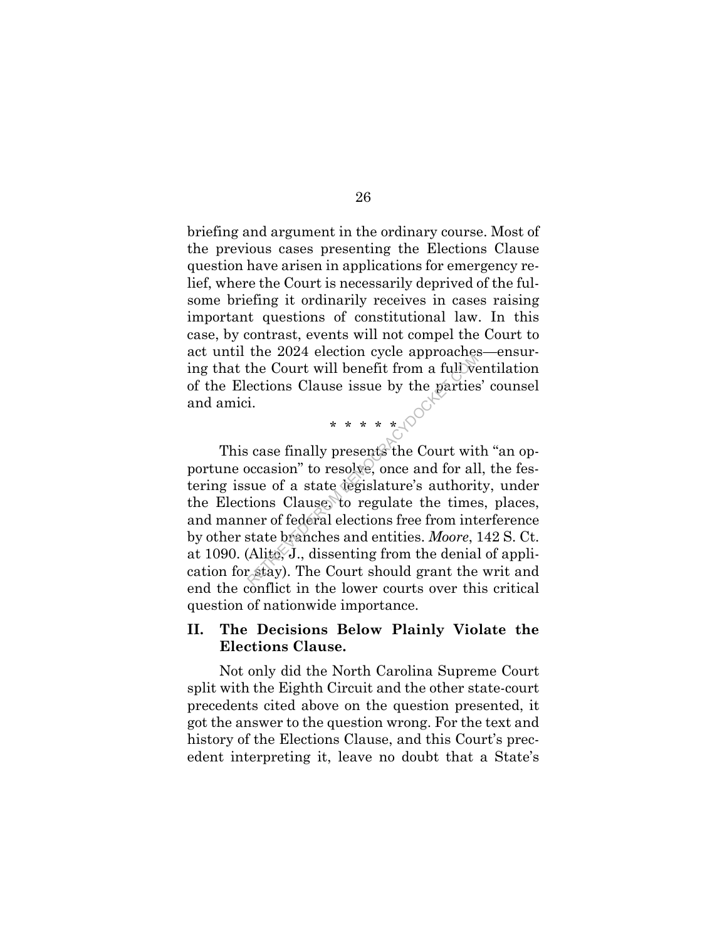briefing and argument in the ordinary course. Most of the previous cases presenting the Elections Clause question have arisen in applications for emergency relief, where the Court is necessarily deprived of the fulsome briefing it ordinarily receives in cases raising important questions of constitutional law. In this case, by contrast, events will not compel the Court to act until the 2024 election cycle approaches—ensuring that the Court will benefit from a full ventilation of the Elections Clause issue by the parties' counsel and amici.

\* \* \* \* \* 100

This case finally presents the Court with "an opportune occasion" to resolve, once and for all, the festering issue of a state legislature's authority, under the Elections Clause, to regulate the times, places, and manner of federal elections free from interference by other state branches and entities. *Moore*, 142 S. Ct. at 1090. (Alito, J., dissenting from the denial of application for stay). The Court should grant the writ and end the conflict in the lower courts over this critical question of nationwide importance. RETRIEVED FROM DEMOCRACYDOCKET.COM

## **II. The Decisions Below Plainly Violate the Elections Clause.**

Not only did the North Carolina Supreme Court split with the Eighth Circuit and the other state-court precedents cited above on the question presented, it got the answer to the question wrong. For the text and history of the Elections Clause, and this Court's precedent interpreting it, leave no doubt that a State's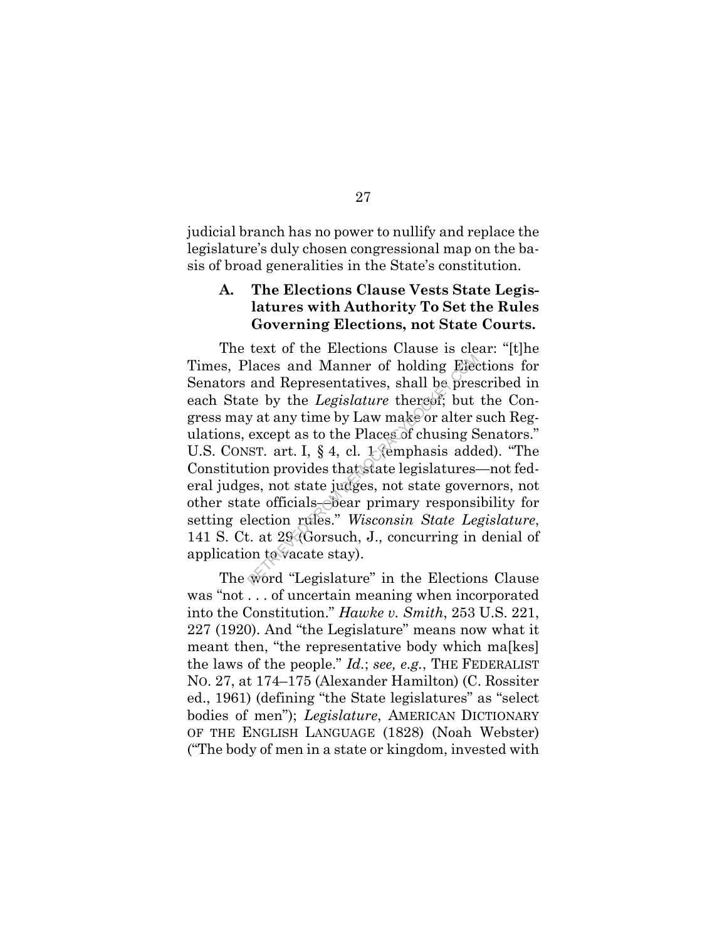judicial branch has no power to nullify and replace the legislature's duly chosen congressional map on the basis of broad generalities in the State's constitution.

## **A. The Elections Clause Vests State Legislatures with Authority To Set the Rules Governing Elections, not State Courts.**

The text of the Elections Clause is clear: "[t]he Times, Places and Manner of holding Elections for Senators and Representatives, shall be prescribed in each State by the *Legislature* thereof; but the Congress may at any time by Law make or alter such Regulations, except as to the Places of chusing Senators." U.S. CONST. art. I, § 4, cl. 1 (emphasis added). "The Constitution provides that state legislatures—not federal judges, not state judges, not state governors, not other state officials—bear primary responsibility for setting election rules." *Wisconsin State Legislature*, 141 S. Ct. at 29 (Gorsuch, J., concurring in denial of application to vacate stay). laces and Manner of holding Edecand Representatives, shall be preste by the *Legislature* thereof; but y at any time by Law make or alter sexcept as to the Places of chusing SIST. art. I, § 4, cl. 1 (emphasis add tion pro

The word "Legislature" in the Elections Clause was "not . . . of uncertain meaning when incorporated into the Constitution." *Hawke v. Smith*, 253 U.S. 221, 227 (1920). And "the Legislature" means now what it meant then, "the representative body which ma<sub>[kes]</sub> the laws of the people." *Id.*; *see, e.g.*, THE FEDERALIST NO. 27, at 174–175 (Alexander Hamilton) (C. Rossiter ed., 1961) (defining "the State legislatures" as "select bodies of men"); *Legislature*, AMERICAN DICTIONARY OF THE ENGLISH LANGUAGE (1828) (Noah Webster) ("The body of men in a state or kingdom, invested with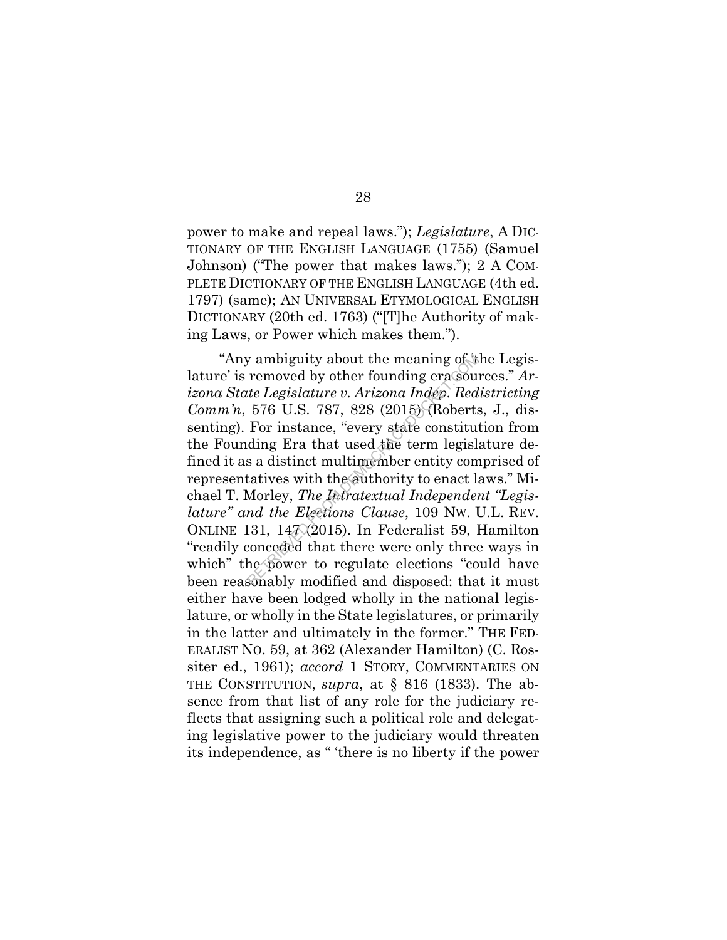power to make and repeal laws."); *Legislature*, A DIC-TIONARY OF THE ENGLISH LANGUAGE (1755) (Samuel Johnson) ("The power that makes laws."); 2 A COM-PLETE DICTIONARY OF THE ENGLISH LANGUAGE (4th ed. 1797) (same); AN UNIVERSAL ETYMOLOGICAL ENGLISH DICTIONARY (20th ed. 1763) ("[T]he Authority of making Laws, or Power which makes them.").

"Any ambiguity about the meaning of 'the Legislature' is removed by other founding era sources." *Arizona State Legislature v. Arizona Indep. Redistricting Comm'n*, 576 U.S. 787, 828 (2015) (Roberts, J., dissenting). For instance, "every state constitution from the Founding Era that used the term legislature defined it as a distinct multimember entity comprised of representatives with the authority to enact laws." Michael T. Morley, *The Intratextual Independent "Legislature" and the Elections Clause*, 109 NW. U.L. REV. ONLINE 131, 14 $\sqrt{2015}$ . In Federalist 59, Hamilton "readily conceded that there were only three ways in which" the power to regulate elections "could have been reasonably modified and disposed: that it must either have been lodged wholly in the national legislature, or wholly in the State legislatures, or primarily in the latter and ultimately in the former." THE FED-ERALIST NO. 59, at 362 (Alexander Hamilton) (C. Rossiter ed., 1961); *accord* 1 STORY, COMMENTARIES ON THE CONSTITUTION, *supra*, at § 816 (1833). The absence from that list of any role for the judiciary reflects that assigning such a political role and delegating legislative power to the judiciary would threaten its independence, as " 'there is no liberty if the power by ambiguity about the meaning of  $t$  removed by other founding erasoute *Legislature v. Arizona Indép. Red* 576 U.S. 787, 828 (2015) (Roberts For instance, "every state constiture ding Era that used the term legisl s a d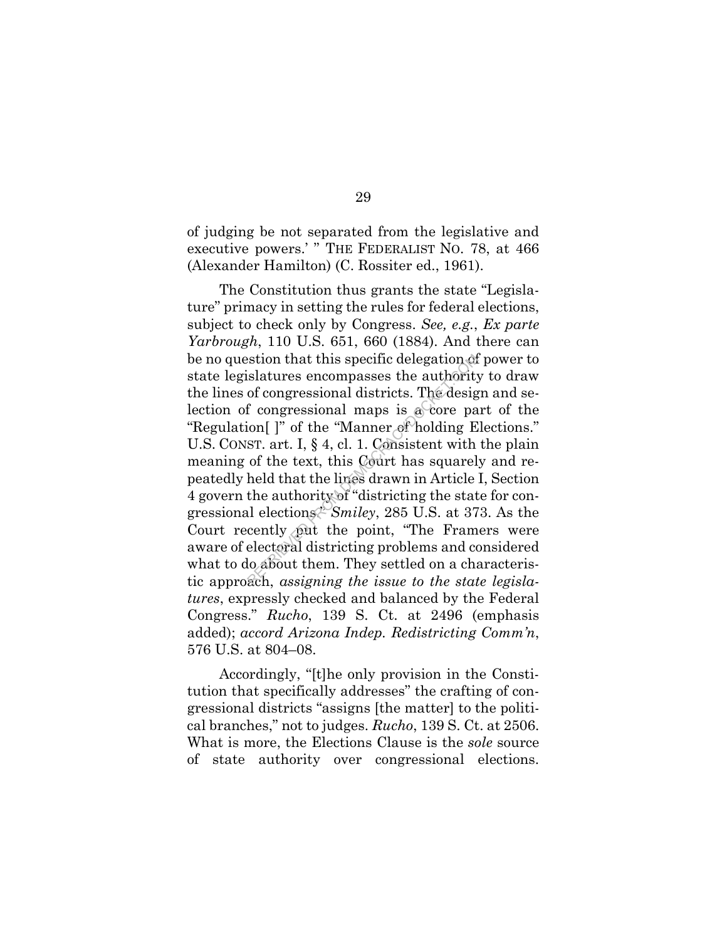of judging be not separated from the legislative and executive powers.' " THE FEDERALIST NO. 78, at 466 (Alexander Hamilton) (C. Rossiter ed., 1961).

The Constitution thus grants the state "Legislature" primacy in setting the rules for federal elections, subject to check only by Congress. *See, e.g.*, *Ex parte Yarbrough*, 110 U.S. 651, 660 (1884). And there can be no question that this specific delegation of power to state legislatures encompasses the authority to draw the lines of congressional districts. The design and selection of congressional maps is  $\alpha$  core part of the "Regulation[ ]" of the "Manner of holding Elections." U.S. CONST. art. I, § 4, cl. 1. Consistent with the plain meaning of the text, this Court has squarely and repeatedly held that the lines drawn in Article I, Section 4 govern the authority of "districting the state for congressional elections." *Smiley*, 285 U.S. at 373. As the Court recently put the point, "The Framers were aware of electoral districting problems and considered what to do about them. They settled on a characteristic approach, *assigning the issue to the state legislatures*, expressly checked and balanced by the Federal Congress." *Rucho*, 139 S. Ct. at 2496 (emphasis added); *accord Arizona Indep. Redistricting Comm'n*, 576 U.S. at 804–08. slatures encompasses the authority<br>of congressional districts. The designal for congressional maps is a core pa<br>ion[]" of the "Manner of holding E<br>sr. art. I, § 4, cl. 1. Consistent with<br>of the text, this Court has square

Accordingly, "[t]he only provision in the Constitution that specifically addresses" the crafting of congressional districts "assigns [the matter] to the political branches," not to judges. *Rucho*, 139 S. Ct. at 2506. What is more, the Elections Clause is the *sole* source of state authority over congressional elections.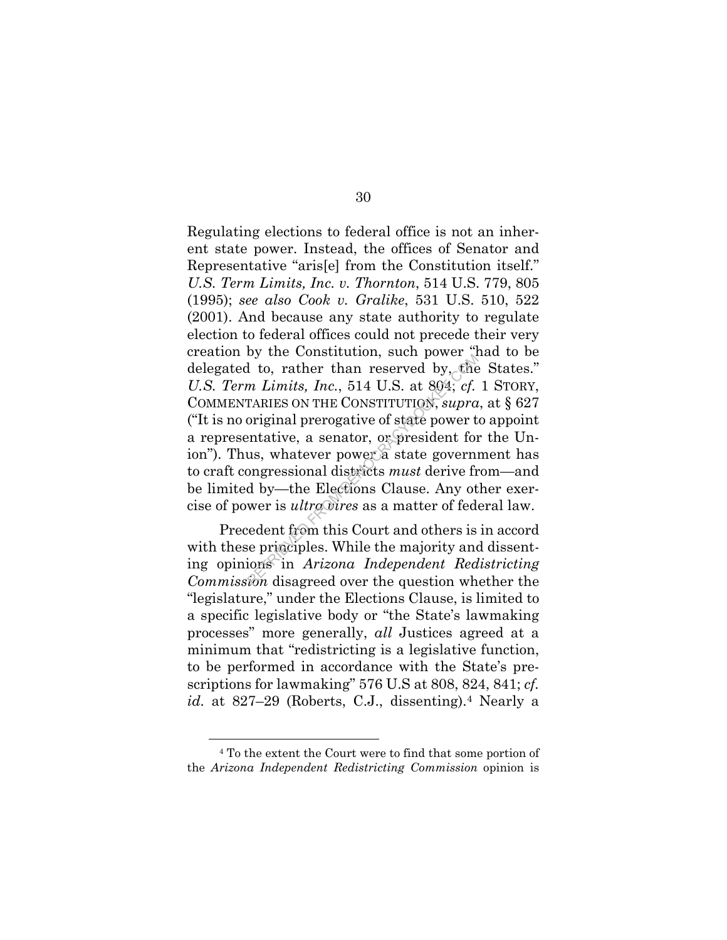Regulating elections to federal office is not an inherent state power. Instead, the offices of Senator and Representative "aris[e] from the Constitution itself." *U.S. Term Limits, Inc. v. Thornton*, 514 U.S. 779, 805 (1995); *see also Cook v. Gralike*, 531 U.S. 510, 522 (2001). And because any state authority to regulate election to federal offices could not precede their very creation by the Constitution, such power "had to be delegated to, rather than reserved by, the States." *U.S. Term Limits, Inc.*, 514 U.S. at 804; *cf.* 1 STORY, COMMENTARIES ON THE CONSTITUTION, *supra*, at § 627 ("It is no original prerogative of state power to appoint a representative, a senator, or president for the Union"). Thus, whatever power a state government has to craft congressional districts *must* derive from—and be limited by—the Elections Clause. Any other exercise of power is *ultra vires* as a matter of federal law. b, rather than reserved by, the<br> *Rem Limits, Inc.*, 514 U.S. at 804; cf.<br>
TARIES ON THE CONSTITUTION, supra<br>
original prerogative of state power t<br>
entative, a senator, or president for<br>
us, whatever power a state govern

Precedent from this Court and others is in accord with these principles. While the majority and dissenting opinions in *Arizona Independent Redistricting Commission* disagreed over the question whether the "legislature," under the Elections Clause, is limited to a specific legislative body or "the State's lawmaking processes" more generally, *all* Justices agreed at a minimum that "redistricting is a legislative function, to be performed in accordance with the State's prescriptions for lawmaking" 576 U.S at 808, 824, 841; *cf. id.* at 827–29 (Roberts, C.J., dissenting).4 Nearly a

<sup>4</sup> To the extent the Court were to find that some portion of the *Arizona Independent Redistricting Commission* opinion is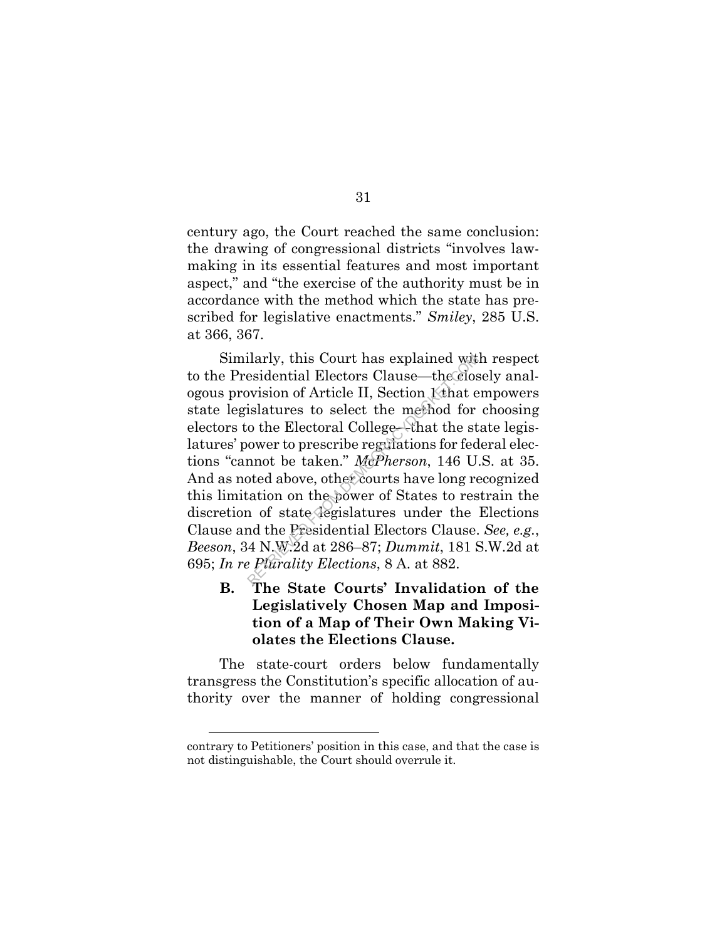century ago, the Court reached the same conclusion: the drawing of congressional districts "involves lawmaking in its essential features and most important aspect," and "the exercise of the authority must be in accordance with the method which the state has prescribed for legislative enactments." *Smiley*, 285 U.S. at 366, 367.

Similarly, this Court has explained with respect to the Presidential Electors Clause—the closely analogous provision of Article II, Section 1 that empowers state legislatures to select the method for choosing electors to the Electoral College—that the state legislatures' power to prescribe regulations for federal elections "cannot be taken." *McPherson*, 146 U.S. at 35. And as noted above, other courts have long recognized this limitation on the power of States to restrain the discretion of state legislatures under the Elections Clause and the Presidential Electors Clause. *See, e.g.*, *Beeson*, 34 N.W.2d at 286–87; *Dummit*, 181 S.W.2d at 695; *In re Plurality Elections*, 8 A. at 882. ilarly, this Court has explained with<br>esidential Electors Clause—the clos<br>ovision of Article II, Section K that e<br>islatures to select the method for<br>o the Electoral College—that the st<br>ower to prescribe regulations for fed

**B. The State Courts' Invalidation of the Legislatively Chosen Map and Imposition of a Map of Their Own Making Violates the Elections Clause.** 

The state-court orders below fundamentally transgress the Constitution's specific allocation of authority over the manner of holding congressional

31

contrary to Petitioners' position in this case, and that the case is not distinguishable, the Court should overrule it.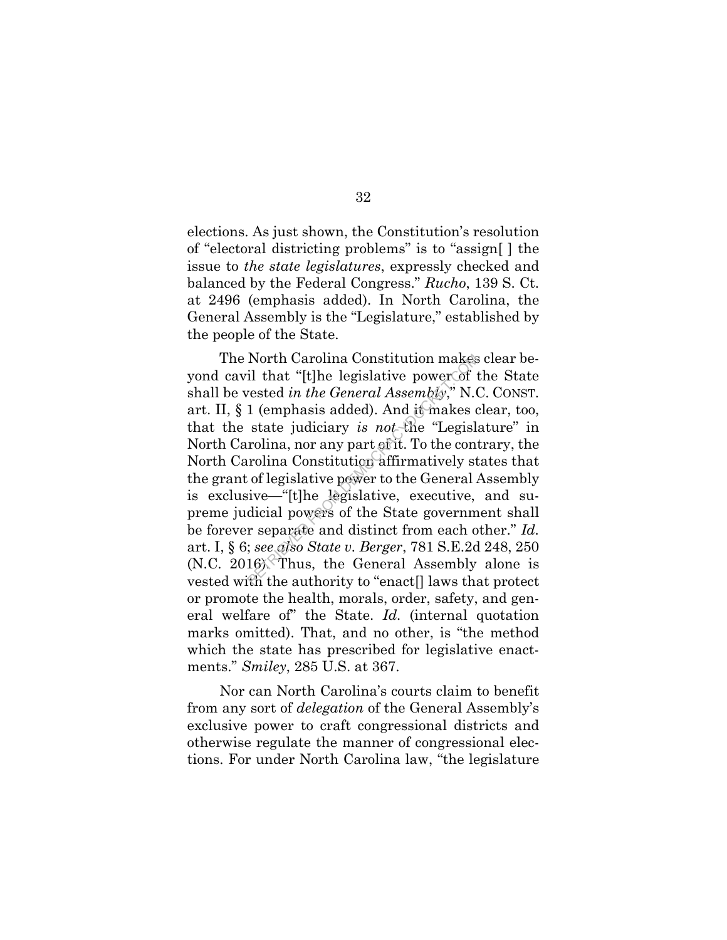elections. As just shown, the Constitution's resolution of "electoral districting problems" is to "assign[ ] the issue to *the state legislatures*, expressly checked and balanced by the Federal Congress." *Rucho*, 139 S. Ct. at 2496 (emphasis added). In North Carolina, the General Assembly is the "Legislature," established by the people of the State.

The North Carolina Constitution makes clear beyond cavil that "[t]he legislative power of the State shall be vested *in the General Assembly*," N.C. CONST. art. II, § 1 (emphasis added). And it makes clear, too, that the state judiciary *is not* the "Legislature" in North Carolina, nor any part of it. To the contrary, the North Carolina Constitution affirmatively states that the grant of legislative power to the General Assembly is exclusive—"[t]he legislative, executive, and supreme judicial powers of the State government shall be forever separate and distinct from each other." *Id.* art. I, § 6; *see also State v. Berger*, 781 S.E.2d 248, 250 (N.C. 2016). Thus, the General Assembly alone is vested with the authority to "enact[] laws that protect or promote the health, morals, order, safety, and general welfare of" the State. *Id.* (internal quotation marks omitted). That, and no other, is "the method which the state has prescribed for legislative enactments." *Smiley*, 285 U.S. at 367. North Carolina Constitution makes<br>il that "[t]he legislative power of the<br>rested in the General Assembly," N.(<br>1 (emphasis added). And it makes c<br>state judiciary is not the "Legisl:<br>rolina, nor any part of it. To the cont

Nor can North Carolina's courts claim to benefit from any sort of *delegation* of the General Assembly's exclusive power to craft congressional districts and otherwise regulate the manner of congressional elections. For under North Carolina law, "the legislature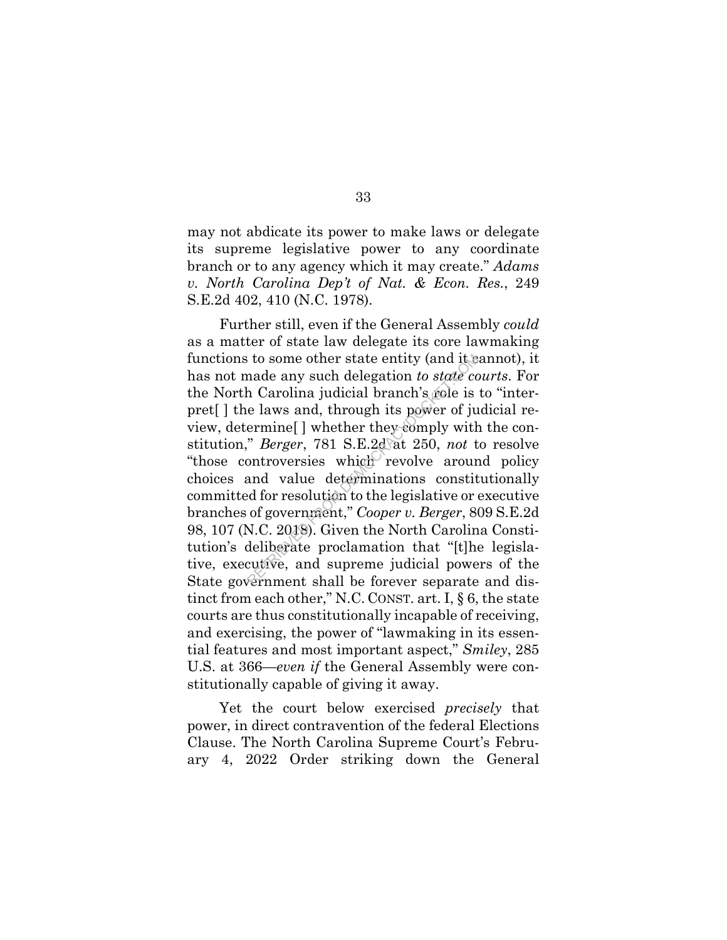may not abdicate its power to make laws or delegate its supreme legislative power to any coordinate branch or to any agency which it may create." *Adams v. North Carolina Dep't of Nat. & Econ. Res.*, 249 S.E.2d 402, 410 (N.C. 1978).

Further still, even if the General Assembly *could*  as a matter of state law delegate its core lawmaking functions to some other state entity (and it cannot), it has not made any such delegation *to state courts*. For the North Carolina judicial branch's role is to "interpret[ ] the laws and, through its power of judicial review, determine[ ] whether they comply with the constitution," *Berger*, 781 S.E.2d at 250, *not* to resolve "those controversies which revolve around policy" choices and value determinations constitutionally committed for resolution to the legislative or executive branches of government," *Cooper v. Berger*, 809 S.E.2d 98, 107 (N.C. 2018). Given the North Carolina Constitution's deliberate proclamation that "[t]he legislative, executive, and supreme judicial powers of the State government shall be forever separate and distinct from each other," N.C. CONST. art. I, § 6, the state courts are thus constitutionally incapable of receiving, and exercising, the power of "lawmaking in its essential features and most important aspect," *Smiley*, 285 U.S. at 366—*even if* the General Assembly were constitutionally capable of giving it away. For state entity (and it is<br>nade any such delegation to state co<br>h Carolina judicial branch's role is<br>e laws and, through its power of ju<br>ermine[] whether they-comply with<br>"Berger, 781 S.E.2d at 250, not t<br>ontroversies wh

Yet the court below exercised *precisely* that power, in direct contravention of the federal Elections Clause. The North Carolina Supreme Court's February 4, 2022 Order striking down the General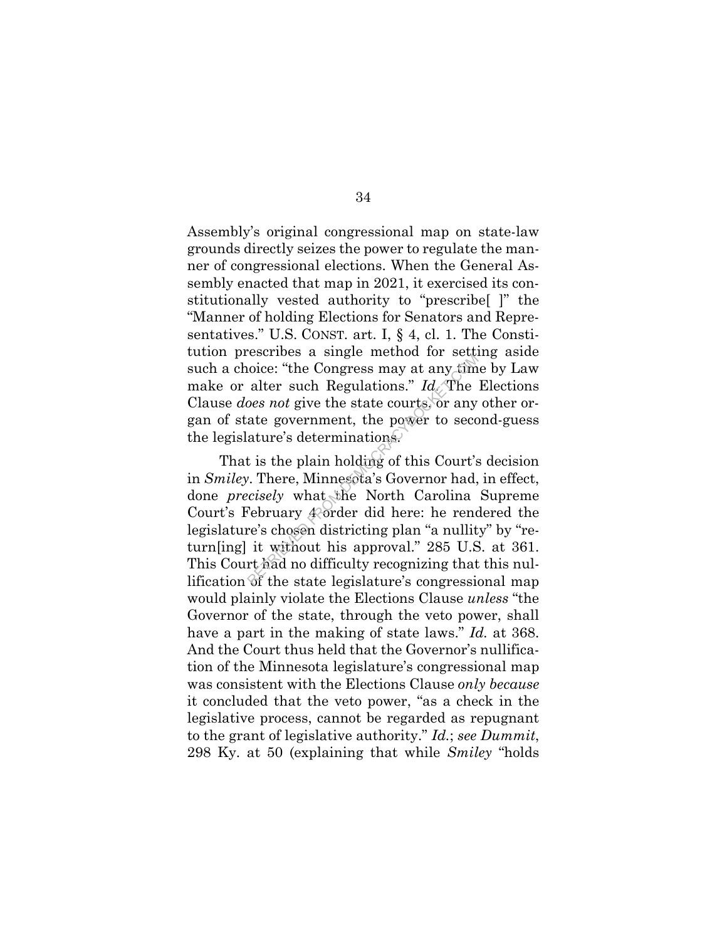Assembly's original congressional map on state-law grounds directly seizes the power to regulate the manner of congressional elections. When the General Assembly enacted that map in 2021, it exercised its constitutionally vested authority to "prescribe[ ]" the "Manner of holding Elections for Senators and Representatives." U.S. CONST. art. I, § 4, cl. 1. The Constitution prescribes a single method for setting aside such a choice: "the Congress may at any time by Law make or alter such Regulations." *Id.* The Elections Clause *does not* give the state courts, or any other organ of state government, the power to second-guess the legislature's determinations.

That is the plain holding of this Court's decision in *Smiley*. There, Minnesota's Governor had, in effect, done *precisely* what the North Carolina Supreme Court's February 4 order did here: he rendered the legislature's chosen districting plan "a nullity" by "return[ing] it without his approval." 285 U.S. at 361. This Court had no difficulty recognizing that this nullification of the state legislature's congressional map would plainly violate the Elections Clause *unless* "the Governor of the state, through the veto power, shall have a part in the making of state laws." *Id.* at 368. And the Court thus held that the Governor's nullification of the Minnesota legislature's congressional map was consistent with the Elections Clause *only because* it concluded that the veto power, "as a check in the legislative process, cannot be regarded as repugnant to the grant of legislative authority." *Id.*; *see Dummit*, 298 Ky. at 50 (explaining that while *Smiley* "holds colonce: "the Congress may at any tim<br>alter such Regulations." Id. The<br>oes not give the state courts, or any<br>ate government, the power to seco<br>ature's determinations.<br>t is the plain holding of this Court's<br>". There, Minnes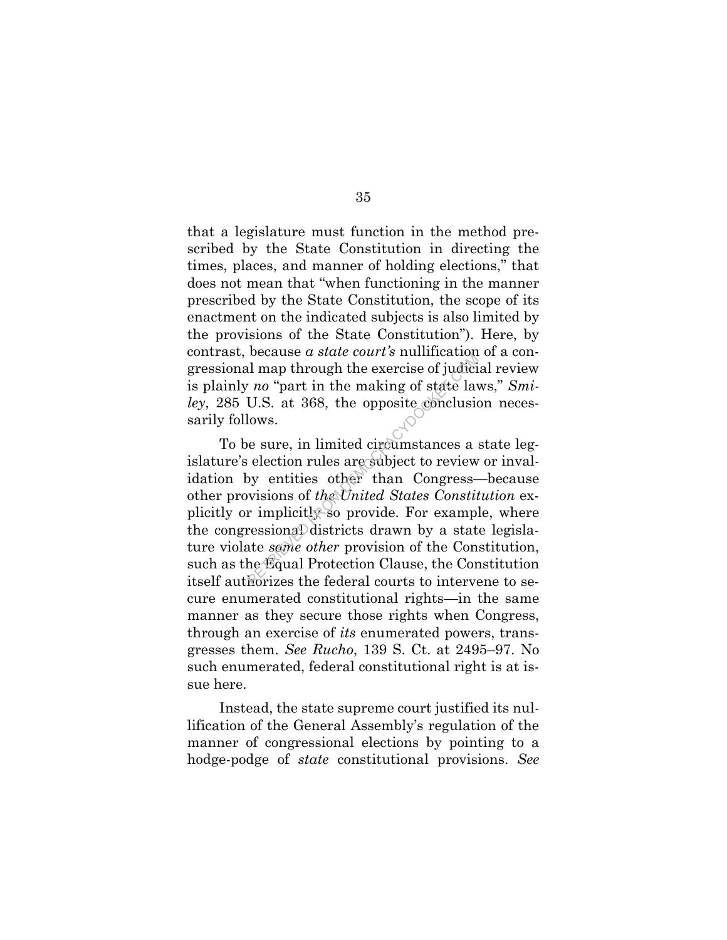that a legislature must function in the method prescribed by the State Constitution in directing the times, places, and manner of holding elections," that does not mean that "when functioning in the manner prescribed by the State Constitution, the scope of its enactment on the indicated subjects is also limited by the provisions of the State Constitution"). Here, by contrast, because *a state court's* nullification of a congressional map through the exercise of judicial review is plainly *no* "part in the making of state laws," *Smiley*, 285 U.S. at 368, the opposite conclusion necessarily follows.

To be sure, in limited circumstances a state legislature's election rules are subject to review or invalidation by entities other than Congress—because other provisions of *the United States Constitution* explicitly or implicitly so provide. For example, where the congressional districts drawn by a state legislature violate *some other* provision of the Constitution, such as the Equal Protection Clause, the Constitution itself authorizes the federal courts to intervene to secure enumerated constitutional rights—in the same manner as they secure those rights when Congress, through an exercise of *its* enumerated powers, transgresses them. *See Rucho*, 139 S. Ct. at 2495–97. No such enumerated, federal constitutional right is at issue here. because a state coart's numeration.<br>
Il map through the exercise of judici<br>
r no "part in the making of state lavents"<br>
U.S. at 368, the opposite conclusion<br>
lows.<br>
see sure, in limited circumstances a<br>
election rules are

Instead, the state supreme court justified its nullification of the General Assembly's regulation of the manner of congressional elections by pointing to a hodge-podge of *state* constitutional provisions. *See*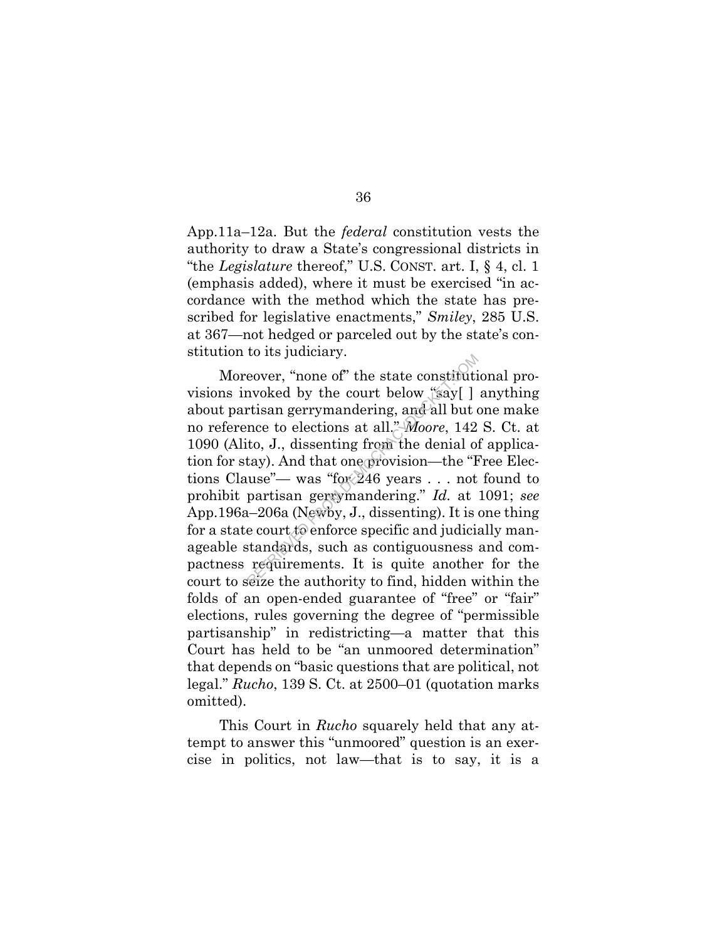App.11a–12a. But the *federal* constitution vests the authority to draw a State's congressional districts in "the *Legislature* thereof," U.S. CONST. art. I, § 4, cl. 1 (emphasis added), where it must be exercised "in accordance with the method which the state has prescribed for legislative enactments," *Smiley*, 285 U.S. at 367—not hedged or parceled out by the state's constitution to its judiciary.

Moreover, "none of" the state constitutional provisions invoked by the court below "say[ ] anything about partisan gerrymandering, and all but one make no reference to elections at all." *Moore*, 142 S. Ct. at 1090 (Alito, J., dissenting from the denial of application for stay). And that one provision—the "Free Elections Clause"— was "for 246 years . . . not found to prohibit partisan gerrymandering." *Id.* at 1091; *see*  App.196a–206a (Newby, J., dissenting). It is one thing for a state court to enforce specific and judicially manageable standards, such as contiguousness and compactness requirements. It is quite another for the court to seize the authority to find, hidden within the folds of an open-ended guarantee of "free" or "fair" elections, rules governing the degree of "permissible partisanship" in redistricting—a matter that this Court has held to be "an unmoored determination" that depends on "basic questions that are political, not legal." *Rucho*, 139 S. Ct. at 2500–01 (quotation marks omitted). cover, "none of" the state constitution<br>voked by the court below "say[]<br>rtisan gerrymandering, and all but of<br>nce to elections at all." *Moore*, 142<br>to, J., dissenting from the denial of<br>tay). And that one provision—the "

This Court in *Rucho* squarely held that any attempt to answer this "unmoored" question is an exercise in politics, not law—that is to say, it is a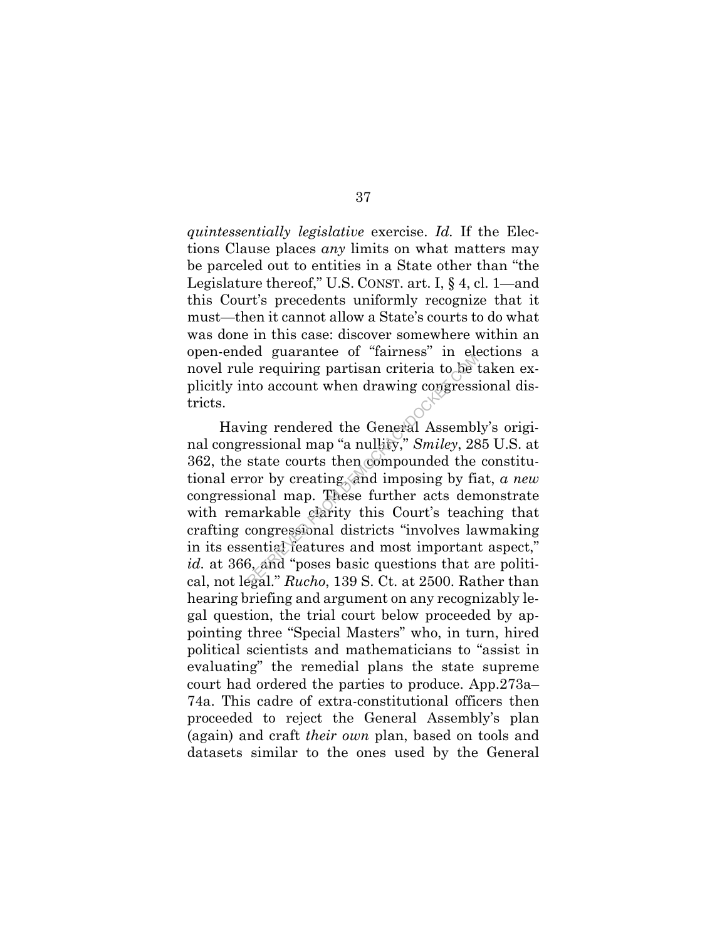*quintessentially legislative* exercise. *Id.* If the Elections Clause places *any* limits on what matters may be parceled out to entities in a State other than "the Legislature thereof," U.S. CONST. art. I, § 4, cl. 1—and this Court's precedents uniformly recognize that it must—then it cannot allow a State's courts to do what was done in this case: discover somewhere within an open-ended guarantee of "fairness" in elections a novel rule requiring partisan criteria to be taken explicitly into account when drawing congressional districts.

Having rendered the General Assembly's original congressional map "a nullity," *Smiley*, 285 U.S. at 362, the state courts then compounded the constitutional error by creating, and imposing by fiat, *a new*  congressional map. These further acts demonstrate with remarkable clarity this Court's teaching that crafting congressional districts "involves lawmaking in its essential features and most important aspect," *id.* at 366, and "poses basic questions that are political, not legal." *Rucho*, 139 S. Ct. at 2500. Rather than hearing briefing and argument on any recognizably legal question, the trial court below proceeded by appointing three "Special Masters" who, in turn, hired political scientists and mathematicians to "assist in evaluating" the remedial plans the state supreme court had ordered the parties to produce. App.273a– 74a. This cadre of extra-constitutional officers then proceeded to reject the General Assembly's plan (again) and craft *their own* plan, based on tools and datasets similar to the ones used by the General e requiring partisan criteria to be<br>at the account when drawing congress<br>ing rendered the General Assembl<br>ressional map "a nullity," Smiley, 28<br>state courts then compounded the<br>complex to the compounded the<br>complex of the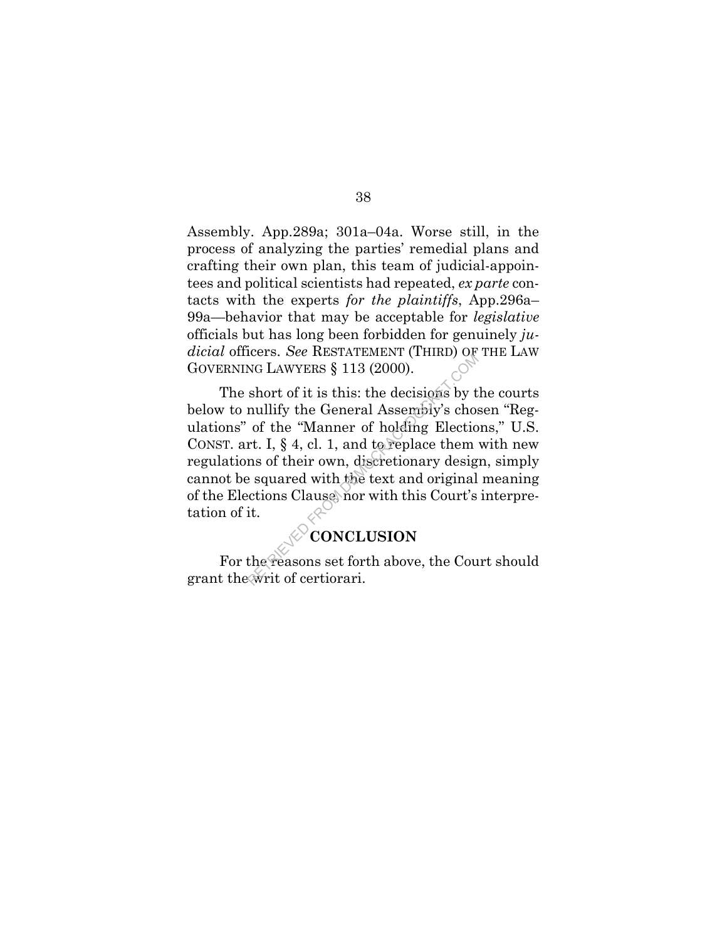Assembly. App.289a; 301a–04a. Worse still, in the process of analyzing the parties' remedial plans and crafting their own plan, this team of judicial-appointees and political scientists had repeated, *ex parte* contacts with the experts *for the plaintiffs*, App.296a– 99a—behavior that may be acceptable for *legislative*  officials but has long been forbidden for genuinely *judicial* officers. *See* RESTATEMENT (THIRD) OF THE LAW GOVERNING LAWYERS § 113 (2000).

The short of it is this: the decisions by the courts below to nullify the General Assembly's chosen "Regulations" of the "Manner of holding Elections," U.S. CONST. art. I, § 4, cl. 1, and to replace them with new regulations of their own, discretionary design, simply cannot be squared with the text and original meaning of the Elections Clause, nor with this Court's interpretation of it. NG LAWYERS § 113 (2000).<br>
Short of it is this: the decisions by t<br>
mullify the General Assembly's chose<br>
of the "Manner of holding Election<br>
rt. I, § 4, cl. 1, and to replace them<br>
ms of their own, discretionary designed<br>

## **CONCLUSION**

For the reasons set forth above, the Court should grant the writ of certiorari.